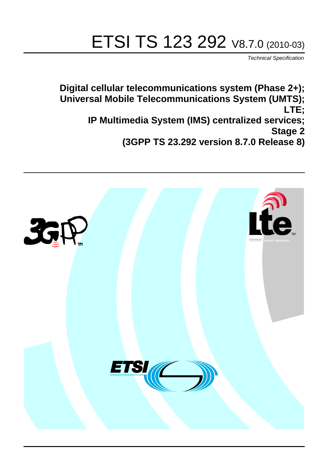# ETSI TS 123 292 V8.7.0 (2010-03)

*Technical Specification*

**Digital cellular telecommunications system (Phase 2+); Universal Mobile Telecommunications System (UMTS); LTE; IP Multimedia System (IMS) centralized services; Stage 2 (3GPP TS 23.292 version 8.7.0 Release 8)**

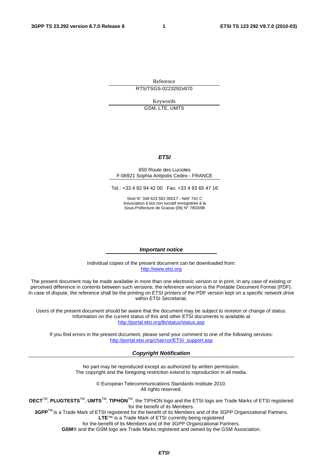Reference

RTS/TSGS-0223292v870

Keywords GSM, LTE, UMTS

#### *ETSI*

#### 650 Route des Lucioles F-06921 Sophia Antipolis Cedex - FRANCE

Tel.: +33 4 92 94 42 00 Fax: +33 4 93 65 47 16

Siret N° 348 623 562 00017 - NAF 742 C Association à but non lucratif enregistrée à la Sous-Préfecture de Grasse (06) N° 7803/88

#### *Important notice*

Individual copies of the present document can be downloaded from: [http://www.etsi.org](http://www.etsi.org/)

The present document may be made available in more than one electronic version or in print. In any case of existing or perceived difference in contents between such versions, the reference version is the Portable Document Format (PDF). In case of dispute, the reference shall be the printing on ETSI printers of the PDF version kept on a specific network drive within ETSI Secretariat.

Users of the present document should be aware that the document may be subject to revision or change of status. Information on the current status of this and other ETSI documents is available at <http://portal.etsi.org/tb/status/status.asp>

If you find errors in the present document, please send your comment to one of the following services: [http://portal.etsi.org/chaircor/ETSI\\_support.asp](http://portal.etsi.org/chaircor/ETSI_support.asp)

#### *Copyright Notification*

No part may be reproduced except as authorized by written permission. The copyright and the foregoing restriction extend to reproduction in all media.

> © European Telecommunications Standards Institute 2010. All rights reserved.

**DECT**TM, **PLUGTESTS**TM, **UMTS**TM, **TIPHON**TM, the TIPHON logo and the ETSI logo are Trade Marks of ETSI registered for the benefit of its Members.

**3GPP**TM is a Trade Mark of ETSI registered for the benefit of its Members and of the 3GPP Organizational Partners. **LTE**™ is a Trade Mark of ETSI currently being registered

for the benefit of its Members and of the 3GPP Organizational Partners.

**GSM**® and the GSM logo are Trade Marks registered and owned by the GSM Association.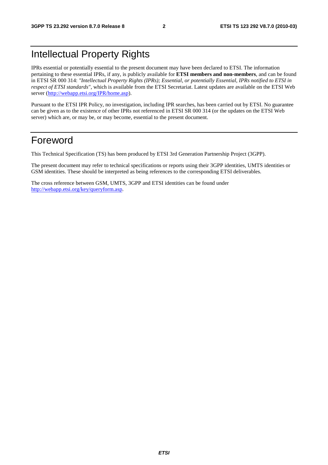## Intellectual Property Rights

IPRs essential or potentially essential to the present document may have been declared to ETSI. The information pertaining to these essential IPRs, if any, is publicly available for **ETSI members and non-members**, and can be found in ETSI SR 000 314: *"Intellectual Property Rights (IPRs); Essential, or potentially Essential, IPRs notified to ETSI in respect of ETSI standards"*, which is available from the ETSI Secretariat. Latest updates are available on the ETSI Web server [\(http://webapp.etsi.org/IPR/home.asp](http://webapp.etsi.org/IPR/home.asp)).

Pursuant to the ETSI IPR Policy, no investigation, including IPR searches, has been carried out by ETSI. No guarantee can be given as to the existence of other IPRs not referenced in ETSI SR 000 314 (or the updates on the ETSI Web server) which are, or may be, or may become, essential to the present document.

## Foreword

This Technical Specification (TS) has been produced by ETSI 3rd Generation Partnership Project (3GPP).

The present document may refer to technical specifications or reports using their 3GPP identities, UMTS identities or GSM identities. These should be interpreted as being references to the corresponding ETSI deliverables.

The cross reference between GSM, UMTS, 3GPP and ETSI identities can be found under <http://webapp.etsi.org/key/queryform.asp>.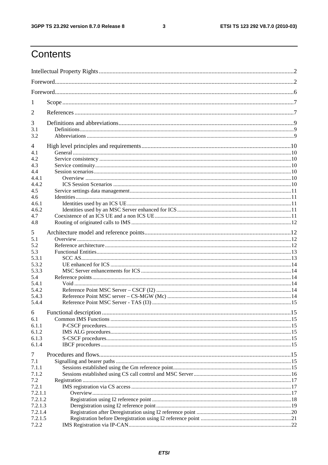$\mathbf{3}$ 

## Contents

| 1              |                        |      |  |  |  |
|----------------|------------------------|------|--|--|--|
| 2              |                        |      |  |  |  |
| 3              |                        |      |  |  |  |
| 3.1            |                        |      |  |  |  |
| 3.2            |                        |      |  |  |  |
| 4              |                        |      |  |  |  |
| 4.1            |                        |      |  |  |  |
| 4.2            |                        |      |  |  |  |
| 4.3            |                        |      |  |  |  |
| 4.4            |                        |      |  |  |  |
| 4.4.1          |                        |      |  |  |  |
| 4.4.2          |                        |      |  |  |  |
| 4.5            |                        |      |  |  |  |
| 4.6            |                        |      |  |  |  |
| 4.6.1<br>4.6.2 |                        |      |  |  |  |
| 4.7            |                        |      |  |  |  |
| 4.8            |                        |      |  |  |  |
|                |                        |      |  |  |  |
| 5              |                        |      |  |  |  |
| 5.1            |                        |      |  |  |  |
| 5.2            |                        |      |  |  |  |
| 5.3            |                        |      |  |  |  |
| 5.3.1          |                        |      |  |  |  |
| 5.3.2          |                        |      |  |  |  |
| 5.3.3          |                        |      |  |  |  |
| 5.4            |                        |      |  |  |  |
| 5.4.1          |                        |      |  |  |  |
| 5.4.2          |                        |      |  |  |  |
| 5.4.3<br>5.4.4 |                        |      |  |  |  |
|                |                        |      |  |  |  |
| 6              | Functional description | . 15 |  |  |  |
| 6.1            |                        |      |  |  |  |
| 6.1.1          |                        |      |  |  |  |
| 6.1.2          |                        |      |  |  |  |
| 6.1.3          |                        |      |  |  |  |
| 6.1.4          |                        |      |  |  |  |
| 7              |                        |      |  |  |  |
| 7.1            |                        |      |  |  |  |
| 7.1.1          |                        |      |  |  |  |
| 7.1.2          |                        |      |  |  |  |
| 7.2            |                        |      |  |  |  |
| 7.2.1          |                        |      |  |  |  |
| 7.2.1.1        |                        |      |  |  |  |
| 7.2.1.2        |                        |      |  |  |  |
| 7.2.1.3        |                        |      |  |  |  |
| 7.2.1.4        |                        |      |  |  |  |
| 7.2.1.5        |                        |      |  |  |  |
| 7.2.2          |                        |      |  |  |  |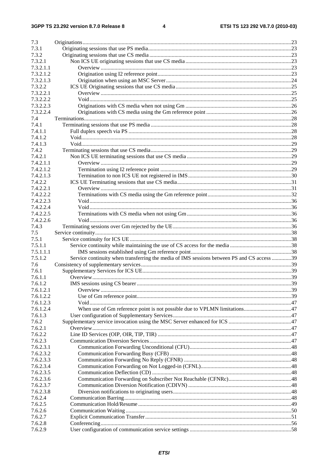| 7.3       |                                                                                            |    |
|-----------|--------------------------------------------------------------------------------------------|----|
| 7.3.1     |                                                                                            |    |
| 7.3.2     |                                                                                            |    |
| 7.3.2.1   |                                                                                            |    |
| 7.3.2.1.1 |                                                                                            |    |
| 7.3.2.1.2 |                                                                                            |    |
| 7.3.2.1.3 |                                                                                            |    |
| 7.3.2.2   |                                                                                            |    |
| 7.3.2.2.1 |                                                                                            |    |
| 7.3.2.2.2 |                                                                                            |    |
| 7.3.2.2.3 |                                                                                            |    |
| 7.3.2.2.4 |                                                                                            |    |
| 7.4       |                                                                                            |    |
| 7.4.1     |                                                                                            |    |
| 7.4.1.1   |                                                                                            |    |
| 7.4.1.2   |                                                                                            |    |
| 7.4.1.3   |                                                                                            |    |
| 7.4.2     |                                                                                            |    |
| 7.4.2.1   |                                                                                            |    |
| 7.4.2.1.1 |                                                                                            |    |
| 7.4.2.1.2 |                                                                                            |    |
| 7.4.2.1.3 |                                                                                            |    |
| 7.4.2.2   |                                                                                            |    |
| 7.4.2.2.1 |                                                                                            |    |
| 7.4.2.2.2 |                                                                                            |    |
| 7.4.2.2.3 |                                                                                            |    |
| 7.4.2.2.4 |                                                                                            |    |
| 7.4.2.2.5 |                                                                                            |    |
| 7.4.2.2.6 |                                                                                            |    |
| 7.4.3     |                                                                                            |    |
| 7.5       |                                                                                            |    |
| 7.5.1     |                                                                                            |    |
| 7.5.1.1   |                                                                                            |    |
| 7.5.1.1.1 |                                                                                            |    |
| 7.5.1.2   | Service continuity when transferring the media of IMS sessions between PS and CS access 39 |    |
| 7.6       |                                                                                            |    |
| 7.6.1     |                                                                                            |    |
| 7.6.1.1   |                                                                                            |    |
| 7.6.1.2   | IMS sessions using CS bearer                                                               | 39 |
| 7.6.1.2.1 |                                                                                            |    |
| 7.6.1.2.2 |                                                                                            |    |
| 7.6.1.2.3 |                                                                                            |    |
| 7.6.1.2.4 |                                                                                            |    |
| 7.6.1.3   |                                                                                            |    |
| 7.6.2     |                                                                                            |    |
| 7.6.2.1   |                                                                                            |    |
| 7.6.2.2   |                                                                                            |    |
| 7.6.2.3   |                                                                                            |    |
| 7.6.2.3.1 |                                                                                            |    |
| 7.6.2.3.2 |                                                                                            |    |
| 7.6.2.3.3 |                                                                                            |    |
| 7.6.2.3.4 |                                                                                            |    |
| 7.6.2.3.5 |                                                                                            |    |
| 7.6.2.3.6 |                                                                                            |    |
| 7.6.2.3.7 |                                                                                            |    |
| 7.6.2.3.8 |                                                                                            |    |
| 7.6.2.4   |                                                                                            |    |
| 7.6.2.5   |                                                                                            |    |
| 7.6.2.6   |                                                                                            |    |
| 7.6.2.7   |                                                                                            |    |
| 7.6.2.8   |                                                                                            |    |
| 7.6.2.9   |                                                                                            |    |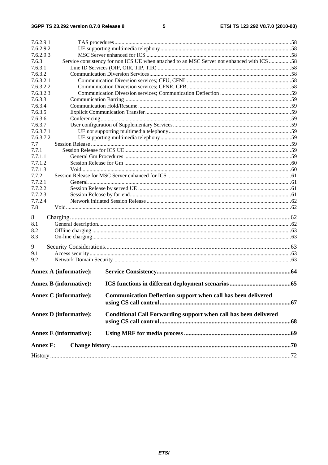| 7.6.2.9.1                     |                                                                                            |                                                                      |    |  |  |
|-------------------------------|--------------------------------------------------------------------------------------------|----------------------------------------------------------------------|----|--|--|
| 7.6.2.9.2                     |                                                                                            |                                                                      |    |  |  |
| 7.6.2.9.3                     |                                                                                            |                                                                      |    |  |  |
| 7.6.3                         | Service consistency for non ICS UE when attached to an MSC Server not enhanced with ICS 58 |                                                                      |    |  |  |
| 7.6.3.1                       |                                                                                            |                                                                      |    |  |  |
| 7.6.3.2                       |                                                                                            |                                                                      |    |  |  |
| 7.6.3.2.1                     |                                                                                            |                                                                      |    |  |  |
| 7.6.3.2.2                     |                                                                                            |                                                                      |    |  |  |
| 7.6.3.2.3                     |                                                                                            |                                                                      |    |  |  |
| 7.6.3.3                       |                                                                                            |                                                                      |    |  |  |
| 7.6.3.4                       |                                                                                            |                                                                      |    |  |  |
| 7.6.3.5                       |                                                                                            |                                                                      |    |  |  |
| 7.6.3.6                       |                                                                                            |                                                                      |    |  |  |
| 7.6.3.7                       |                                                                                            |                                                                      |    |  |  |
| 7.6.3.7.1                     |                                                                                            |                                                                      |    |  |  |
| 7.6.3.7.2                     |                                                                                            |                                                                      |    |  |  |
| 7.7                           |                                                                                            |                                                                      |    |  |  |
| 7.7.1                         |                                                                                            |                                                                      |    |  |  |
| 7.7.1.1                       |                                                                                            |                                                                      |    |  |  |
| 7.7.1.2                       |                                                                                            |                                                                      |    |  |  |
| 7.7.1.3                       |                                                                                            |                                                                      |    |  |  |
| 7.7.2                         |                                                                                            |                                                                      |    |  |  |
| 7.7.2.1                       |                                                                                            |                                                                      |    |  |  |
| 7.7.2.2                       |                                                                                            |                                                                      |    |  |  |
| 7.7.2.3                       |                                                                                            |                                                                      |    |  |  |
| 7.7.2.4                       |                                                                                            |                                                                      |    |  |  |
| 7.8                           |                                                                                            |                                                                      |    |  |  |
| 8                             |                                                                                            |                                                                      |    |  |  |
| 8.1                           |                                                                                            |                                                                      |    |  |  |
| 8.2                           |                                                                                            |                                                                      |    |  |  |
| 8.3                           |                                                                                            |                                                                      |    |  |  |
|                               |                                                                                            |                                                                      |    |  |  |
| 9                             |                                                                                            |                                                                      |    |  |  |
| 9.1                           |                                                                                            |                                                                      |    |  |  |
| 9.2                           |                                                                                            |                                                                      |    |  |  |
|                               | <b>Annex A (informative):</b>                                                              |                                                                      |    |  |  |
|                               | <b>Annex B</b> (informative):                                                              | ICS functions in different deployment scenarios                      | 65 |  |  |
|                               |                                                                                            |                                                                      |    |  |  |
|                               | <b>Annex C</b> (informative):                                                              | <b>Communication Deflection support when call has been delivered</b> |    |  |  |
|                               |                                                                                            |                                                                      |    |  |  |
| <b>Annex D</b> (informative): |                                                                                            | Conditional Call Forwarding support when call has been delivered     |    |  |  |
|                               | <b>Annex E</b> (informative):                                                              |                                                                      |    |  |  |
| <b>Annex F:</b>               |                                                                                            |                                                                      |    |  |  |
|                               |                                                                                            |                                                                      |    |  |  |
|                               |                                                                                            |                                                                      |    |  |  |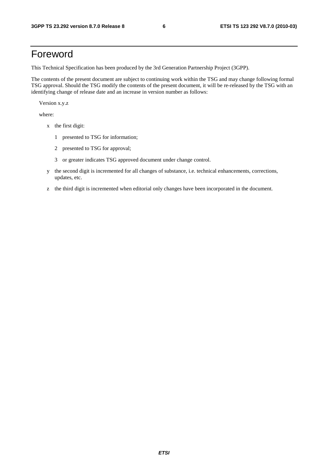## Foreword

This Technical Specification has been produced by the 3rd Generation Partnership Project (3GPP).

The contents of the present document are subject to continuing work within the TSG and may change following formal TSG approval. Should the TSG modify the contents of the present document, it will be re-released by the TSG with an identifying change of release date and an increase in version number as follows:

Version x.y.z

where:

- x the first digit:
	- 1 presented to TSG for information;
	- 2 presented to TSG for approval;
	- 3 or greater indicates TSG approved document under change control.
- y the second digit is incremented for all changes of substance, i.e. technical enhancements, corrections, updates, etc.
- z the third digit is incremented when editorial only changes have been incorporated in the document.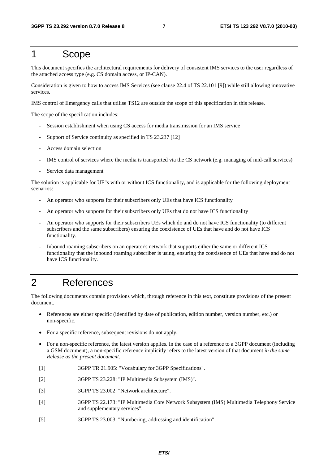## 1 Scope

This document specifies the architectural requirements for delivery of consistent IMS services to the user regardless of the attached access type (e.g. CS domain access, or IP-CAN).

Consideration is given to how to access IMS Services (see clause 22.4 of TS 22.101 [9]) while still allowing innovative services.

IMS control of Emergency calls that utilise TS12 are outside the scope of this specification in this release.

The scope of the specification includes: -

- Session establishment when using CS access for media transmission for an IMS service
- Support of Service continuity as specified in TS 23.237 [12]
- Access domain selection
- IMS control of services where the media is transported via the CS network (e.g. managing of mid-call services)
- Service data management

The solution is applicable for UE"s with or without ICS functionality, and is applicable for the following deployment scenarios:

- An operator who supports for their subscribers only UEs that have ICS functionality
- An operator who supports for their subscribers only UEs that do not have ICS functionality
- An operator who supports for their subscribers UEs which do and do not have ICS functionality (to different subscribers and the same subscribers) ensuring the coexistence of UEs that have and do not have ICS functionality.
- Inbound roaming subscribers on an operator's network that supports either the same or different ICS functionality that the inbound roaming subscriber is using, ensuring the coexistence of UEs that have and do not have ICS functionality.

## 2 References

The following documents contain provisions which, through reference in this text, constitute provisions of the present document.

- References are either specific (identified by date of publication, edition number, version number, etc.) or non-specific.
- For a specific reference, subsequent revisions do not apply.
- For a non-specific reference, the latest version applies. In the case of a reference to a 3GPP document (including a GSM document), a non-specific reference implicitly refers to the latest version of that document *in the same Release as the present document*.
- [1] 3GPP TR 21.905: "Vocabulary for 3GPP Specifications".
- [2] 3GPP TS 23.228: "IP Multimedia Subsystem (IMS)".
- [3] 3GPP TS 23.002: "Network architecture".
- [4] 3GPP TS 22.173: "IP Multimedia Core Network Subsystem (IMS) Multimedia Telephony Service and supplementary services".
- [5] 3GPP TS 23.003: "Numbering, addressing and identification".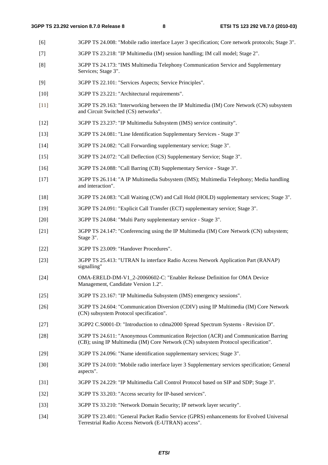- [6] 3GPP TS 24.008: "Mobile radio interface Layer 3 specification; Core network protocols; Stage 3".
- [7] 3GPP TS 23.218: "IP Multimedia (IM) session handling; IM call model; Stage 2".
- [8] 3GPP TS 24.173: "IMS Multimedia Telephony Communication Service and Supplementary Services; Stage 3".
- [9] 3GPP TS 22.101: "Services Aspects; Service Principles".
- [10] 3GPP TS 23.221: "Architectural requirements".
- [11] 3GPP TS 29.163: "Interworking between the IP Multimedia (IM) Core Network (CN) subsystem and Circuit Switched (CS) networks".
- [12] 3GPP TS 23.237: "IP Multimedia Subsystem (IMS) service continuity".
- [13] 3GPP TS 24.081: "Line Identification Supplementary Services Stage 3"
- [14] 3GPP TS 24.082: "Call Forwarding supplementary service; Stage 3".
- [15] 3GPP TS 24.072: "Call Deflection (CS) Supplementary Service; Stage 3".
- [16] 3GPP TS 24.088: "Call Barring (CB) Supplementary Service Stage 3".
- [17] 3GPP TS 26.114: "A IP Multimedia Subsystem (IMS); Multimedia Telephony; Media handling and interaction".
- [18] 3GPP TS 24.083: "Call Waiting (CW) and Call Hold (HOLD) supplementary services; Stage 3".
- [19] 3GPP TS 24.091: "Explicit Call Transfer (ECT) supplementary service; Stage 3".
- [20] 3GPP TS 24.084: "Multi Party supplementary service Stage 3".
- [21] 3GPP TS 24.147: "Conferencing using the IP Multimedia (IM) Core Network (CN) subsystem; Stage 3".
- [22] 3GPP TS 23.009: "Handover Procedures".
- [23] 3GPP TS 25.413: "UTRAN Iu interface Radio Access Network Application Part (RANAP) signalling"
- [24] OMA-ERELD-DM-V1\_2-20060602-C: "Enabler Release Definition for OMA Device Management, Candidate Version 1.2".
- [25] 3GPP TS 23.167: "IP Multimedia Subsystem (IMS) emergency sessions".
- [26] 3GPP TS 24.604: "Communication Diversion (CDIV) using IP Multimedia (IM) Core Network (CN) subsystem Protocol specification".
- [27] 3GPP2 C.S0001-D: "Introduction to cdma2000 Spread Spectrum Systems Revision D".
- [28] 3GPP TS 24.611: "Anonymous Communication Rejection (ACR) and Communication Barring (CB); using IP Multimedia (IM) Core Network (CN) subsystem Protocol specification".
- [29] 3GPP TS 24.096: "Name identification supplementary services; Stage 3".
- [30] 3GPP TS 24.010: "Mobile radio interface layer 3 Supplementary services specification; General aspects".
- [31] 3GPP TS 24.229: "IP Multimedia Call Control Protocol based on SIP and SDP; Stage 3".
- [32] 3GPP TS 33.203: "Access security for IP-based services".
- [33] 3GPP TS 33.210: "Network Domain Security; IP network layer security".
- [34] 3GPP TS 23.401: "General Packet Radio Service (GPRS) enhancements for Evolved Universal Terrestrial Radio Access Network (E-UTRAN) access".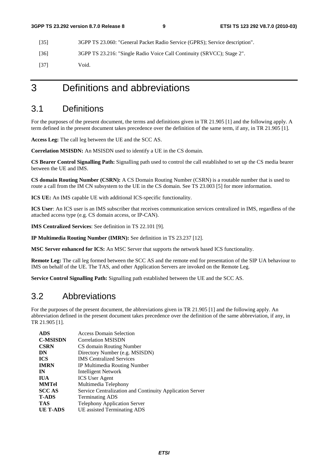[35] 3GPP TS 23.060: "General Packet Radio Service (GPRS); Service description".

[36] 3GPP TS 23.216: "Single Radio Voice Call Continuity (SRVCC); Stage 2".

[37] Void.

## 3 Definitions and abbreviations

## 3.1 Definitions

For the purposes of the present document, the terms and definitions given in TR 21.905 [1] and the following apply. A term defined in the present document takes precedence over the definition of the same term, if any, in TR 21.905 [1].

**Access Leg:** The call leg between the UE and the SCC AS.

**Correlation MSISDN:** An MSISDN used to identify a UE in the CS domain.

**CS Bearer Control Signalling Path:** Signalling path used to control the call established to set up the CS media bearer between the UE and IMS.

**CS domain Routing Number (CSRN):** A CS Domain Routing Number (CSRN) is a routable number that is used to route a call from the IM CN subsystem to the UE in the CS domain. See TS 23.003 [5] for more information.

**ICS UE:** An IMS capable UE with additional ICS-specific functionality.

**ICS User**: An ICS user is an IMS subscriber that receives communication services centralized in IMS, regardless of the attached access type (e.g. CS domain access, or IP-CAN).

**IMS Centralized Services**: See definition in TS 22.101 [9].

**IP Multimedia Routing Number (IMRN):** See definition in TS 23.237 [12].

**MSC Server enhanced for ICS:** An MSC Server that supports the network based ICS functionality.

**Remote Leg:** The call leg formed between the SCC AS and the remote end for presentation of the SIP UA behaviour to IMS on behalf of the UE. The TAS, and other Application Servers are invoked on the Remote Leg.

**Service Control Signalling Path:** Signalling path established between the UE and the SCC AS.

## 3.2 Abbreviations

For the purposes of the present document, the abbreviations given in TR 21.905 [1] and the following apply. An abbreviation defined in the present document takes precedence over the definition of the same abbreviation, if any, in TR 21.905 [1].

| <b>ADS</b>      | <b>Access Domain Selection</b>                           |
|-----------------|----------------------------------------------------------|
| <b>C-MSISDN</b> | <b>Correlation MSISDN</b>                                |
| <b>CSRN</b>     | CS domain Routing Number                                 |
| DN              | Directory Number (e.g. MSISDN)                           |
| <b>ICS</b>      | <b>IMS</b> Centralized Services                          |
| <b>IMRN</b>     | IP Multimedia Routing Number                             |
| IN              | Intelligent Network                                      |
| <b>IUA</b>      | <b>ICS</b> User Agent                                    |
| <b>MMTel</b>    | Multimedia Telephony                                     |
| <b>SCCAS</b>    | Service Centralization and Continuity Application Server |
| <b>T-ADS</b>    | <b>Terminating ADS</b>                                   |
| <b>TAS</b>      | <b>Telephony Application Server</b>                      |
| UE T-ADS        | UE assisted Terminating ADS                              |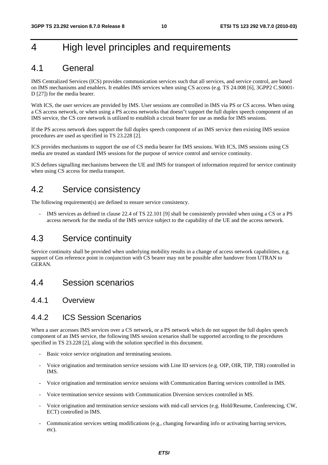## 4 High level principles and requirements

## 4.1 General

IMS Centralized Services (ICS) provides communication services such that all services, and service control, are based on IMS mechanisms and enablers. It enables IMS services when using CS access (e.g. TS 24.008 [6], 3GPP2 C.S0001- D [27]) for the media bearer.

With ICS, the user services are provided by IMS. User sessions are controlled in IMS via PS or CS access. When using a CS access network, or when using a PS access networks that doesn"t support the full duplex speech component of an IMS service, the CS core network is utilized to establish a circuit bearer for use as media for IMS sessions.

If the PS access network does support the full duplex speech component of an IMS service then existing IMS session procedures are used as specified in TS 23.228 [2].

ICS provides mechanisms to support the use of CS media bearer for IMS sessions. With ICS, IMS sessions using CS media are treated as standard IMS sessions for the purpose of service control and service continuity.

ICS defines signalling mechanisms between the UE and IMS for transport of information required for service continuity when using CS access for media transport.

## 4.2 Service consistency

The following requirement(s) are defined to ensure service consistency.

IMS services as defined in clause 22.4 of TS 22.101 [9] shall be consistently provided when using a CS or a PS access network for the media of the IMS service subject to the capability of the UE and the access network.

## 4.3 Service continuity

Service continuity shall be provided when underlying mobility results in a change of access network capabilities, e.g. support of Gm reference point in conjunction with CS bearer may not be possible after handover from UTRAN to GERAN.

4.4 Session scenarios

### 4.4.1 Overview

### 4.4.2 ICS Session Scenarios

When a user accesses IMS services over a CS network, or a PS network which do not support the full duplex speech component of an IMS service, the following IMS session scenarios shall be supported according to the procedures specified in TS 23.228 [2], along with the solution specified in this document.

- Basic voice service origination and terminating sessions.
- Voice origination and termination service sessions with Line ID services (e.g. OIP, OIR, TIP, TIR) controlled in IMS.
- Voice origination and termination service sessions with Communication Barring services controlled in IMS.
- Voice termination service sessions with Communication Diversion services controlled in MS.
- Voice origination and termination service sessions with mid-call services (e.g. Hold/Resume, Conferencing, CW, ECT) controlled in IMS.
- Communication services setting modifications (e.g., changing forwarding info or activating barring services, etc).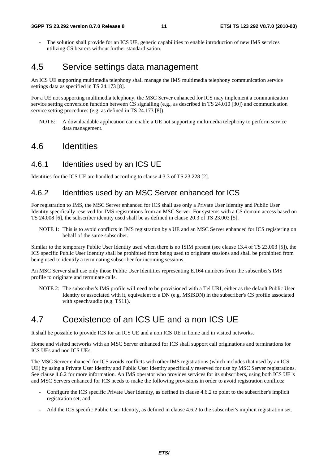The solution shall provide for an ICS UE, generic capabilities to enable introduction of new IMS services utilizing CS bearers without further standardisation.

## 4.5 Service settings data management

An ICS UE supporting multimedia telephony shall manage the IMS multimedia telephony communication service settings data as specified in TS 24.173 [8].

For a UE not supporting multimedia telephony, the MSC Server enhanced for ICS may implement a communication service setting conversion function between CS signalling (e.g., as described in TS 24.010 [30]) and communication service setting procedures (e.g. as defined in TS 24.173 [8]).

NOTE: A downloadable application can enable a UE not supporting multimedia telephony to perform service data management.

## 4.6 Identities

### 4.6.1 Identities used by an ICS UE

Identities for the ICS UE are handled according to clause 4.3.3 of TS 23.228 [2].

### 4.6.2 Identities used by an MSC Server enhanced for ICS

For registration to IMS, the MSC Server enhanced for ICS shall use only a Private User Identity and Public User Identity specifically reserved for IMS registrations from an MSC Server. For systems with a CS domain access based on TS 24.008 [6], the subscriber identity used shall be as defined in clause 20.3 of TS 23.003 [5].

NOTE 1: This is to avoid conflicts in IMS registration by a UE and an MSC Server enhanced for ICS registering on behalf of the same subscriber.

Similar to the temporary Public User Identity used when there is no ISIM present (see clause 13.4 of TS 23.003 [5]), the ICS specific Public User Identity shall be prohibited from being used to originate sessions and shall be prohibited from being used to identify a terminating subscriber for incoming sessions.

An MSC Server shall use only those Public User Identities representing E.164 numbers from the subscriber's IMS profile to originate and terminate calls.

NOTE 2: The subscriber's IMS profile will need to be provisioned with a Tel URI, either as the default Public User Identity or associated with it, equivalent to a DN (e.g. MSISDN) in the subscriber's CS profile associated with speech/audio (e.g. TS11).

## 4.7 Coexistence of an ICS UE and a non ICS UE

It shall be possible to provide ICS for an ICS UE and a non ICS UE in home and in visited networks.

Home and visited networks with an MSC Server enhanced for ICS shall support call originations and terminations for ICS UEs and non ICS UEs.

The MSC Server enhanced for ICS avoids conflicts with other IMS registrations (which includes that used by an ICS UE) by using a Private User Identity and Public User Identity specifically reserved for use by MSC Server registrations. See clause 4.6.2 for more information. An IMS operator who provides services for its subscribers, using both ICS UE"s and MSC Servers enhanced for ICS needs to make the following provisions in order to avoid registration conflicts:

- Configure the ICS specific Private User Identity, as defined in clause 4.6.2 to point to the subscriber's implicit registration set; and
- Add the ICS specific Public User Identity, as defined in clause 4.6.2 to the subscriber's implicit registration set.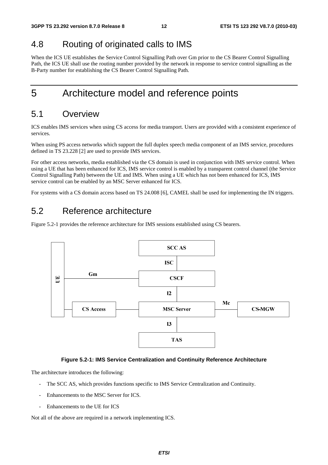## 4.8 Routing of originated calls to IMS

When the ICS UE establishes the Service Control Signalling Path over Gm prior to the CS Bearer Control Signalling Path, the ICS UE shall use the routing number provided by the network in response to service control signalling as the B-Party number for establishing the CS Bearer Control Signalling Path.

## 5 Architecture model and reference points

## 5.1 Overview

ICS enables IMS services when using CS access for media transport. Users are provided with a consistent experience of services.

When using PS access networks which support the full duplex speech media component of an IMS service, procedures defined in TS 23.228 [2] are used to provide IMS services.

For other access networks, media established via the CS domain is used in conjunction with IMS service control. When using a UE that has been enhanced for ICS, IMS service control is enabled by a transparent control channel (the Service Control Signalling Path) between the UE and IMS. When using a UE which has not been enhanced for ICS, IMS service control can be enabled by an MSC Server enhanced for ICS.

For systems with a CS domain access based on TS 24.008 [6], CAMEL shall be used for implementing the IN triggers.

## 5.2 Reference architecture

Figure 5.2-1 provides the reference architecture for IMS sessions established using CS bearers.



#### **Figure 5.2-1: IMS Service Centralization and Continuity Reference Architecture**

The architecture introduces the following:

- The SCC AS, which provides functions specific to IMS Service Centralization and Continuity.
- Enhancements to the MSC Server for ICS.
- Enhancements to the UE for ICS

Not all of the above are required in a network implementing ICS.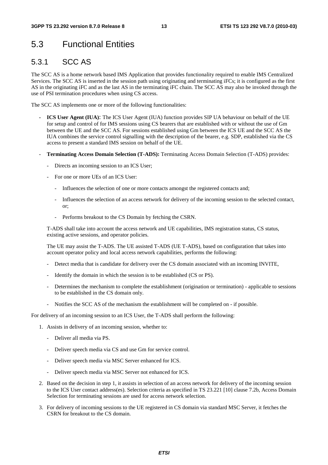## 5.3 Functional Entities

## 5.3.1 SCC AS

The SCC AS is a home network based IMS Application that provides functionality required to enable IMS Centralized Services. The SCC AS is inserted in the session path using originating and terminating iFCs; it is configured as the first AS in the originating iFC and as the last AS in the terminating iFC chain. The SCC AS may also be invoked through the use of PSI termination procedures when using CS access.

The SCC AS implements one or more of the following functionalities:

- **ICS User Agent (IUA)**: The ICS User Agent (IUA) function provides SIP UA behaviour on behalf of the UE for setup and control of for IMS sessions using CS bearers that are established with or without the use of Gm between the UE and the SCC AS. For sessions established using Gm between the ICS UE and the SCC AS the IUA combines the service control signalling with the description of the bearer, e.g. SDP, established via the CS access to present a standard IMS session on behalf of the UE.
- **Terminating Access Domain Selection (T-ADS):** Terminating Access Domain Selection (T-ADS) provides:
	- Directs an incoming session to an ICS User;
	- For one or more UEs of an ICS User:
		- Influences the selection of one or more contacts amongst the registered contacts and;
		- Influences the selection of an access network for delivery of the incoming session to the selected contact, or;
		- Performs breakout to the CS Domain by fetching the CSRN.

 T-ADS shall take into account the access network and UE capabilities, IMS registration status, CS status, existing active sessions, and operator policies.

 The UE may assist the T-ADS. The UE assisted T-ADS (UE T-ADS), based on configuration that takes into account operator policy and local access network capabilities, performs the following:

- Detect media that is candidate for delivery over the CS domain associated with an incoming INVITE,
- Identify the domain in which the session is to be established (CS or PS).
- Determines the mechanism to complete the establishment (origination or termination) applicable to sessions to be established in the CS domain only.
- Notifies the SCC AS of the mechanism the establishment will be completed on if possible.

For delivery of an incoming session to an ICS User, the T-ADS shall perform the following:

- 1. Assists in delivery of an incoming session, whether to:
	- Deliver all media via PS.
	- Deliver speech media via CS and use Gm for service control.
	- Deliver speech media via MSC Server enhanced for ICS.
	- Deliver speech media via MSC Server not enhanced for ICS.
- 2. Based on the decision in step 1, it assists in selection of an access network for delivery of the incoming session to the ICS User contact address(es). Selection criteria as specified in TS 23.221 [10] clause 7.2b, Access Domain Selection for terminating sessions are used for access network selection.
- 3. For delivery of incoming sessions to the UE registered in CS domain via standard MSC Server, it fetches the CSRN for breakout to the CS domain.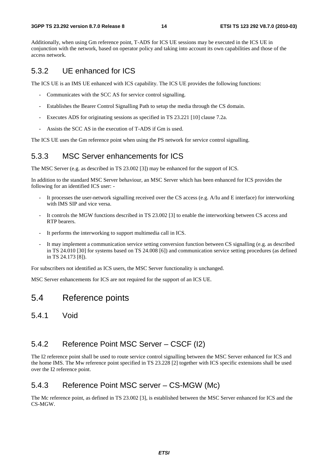#### **3GPP TS 23.292 version 8.7.0 Release 8 14 ETSI TS 123 292 V8.7.0 (2010-03)**

Additionally, when using Gm reference point, T-ADS for ICS UE sessions may be executed in the ICS UE in conjunction with the network, based on operator policy and taking into account its own capabilities and those of the access network.

### 5.3.2 UE enhanced for ICS

The ICS UE is an IMS UE enhanced with ICS capability. The ICS UE provides the following functions:

- Communicates with the SCC AS for service control signalling.
- Establishes the Bearer Control Signalling Path to setup the media through the CS domain.
- Executes ADS for originating sessions as specified in TS 23.221 [10] clause 7.2a.
- Assists the SCC AS in the execution of T-ADS if Gm is used.

The ICS UE uses the Gm reference point when using the PS network for service control signalling.

### 5.3.3 MSC Server enhancements for ICS

The MSC Server (e.g. as described in TS 23.002 [3]) may be enhanced for the support of ICS.

In addition to the standard MSC Server behaviour, an MSC Server which has been enhanced for ICS provides the following for an identified ICS user: -

- It processes the user-network signalling received over the CS access (e.g. A/Iu and E interface) for interworking with IMS SIP and vice versa.
- It controls the MGW functions described in TS 23.002 [3] to enable the interworking between CS access and RTP bearers.
- It performs the interworking to support multimedia call in ICS.
- It may implement a communication service setting conversion function between CS signalling (e.g. as described in TS 24.010 [30] for systems based on TS 24.008 [6]) and communication service setting procedures (as defined in TS 24.173 [8]).

For subscribers not identified as ICS users, the MSC Server functionality is unchanged.

MSC Server enhancements for ICS are not required for the support of an ICS UE.

## 5.4 Reference points

5.4.1 Void

### 5.4.2 Reference Point MSC Server – CSCF (I2)

The I2 reference point shall be used to route service control signalling between the MSC Server enhanced for ICS and the home IMS. The Mw reference point specified in TS 23.228 [2] together with ICS specific extensions shall be used over the I2 reference point.

### 5.4.3 Reference Point MSC server – CS-MGW (Mc)

The Mc reference point, as defined in TS 23.002 [3], is established between the MSC Server enhanced for ICS and the CS-MGW.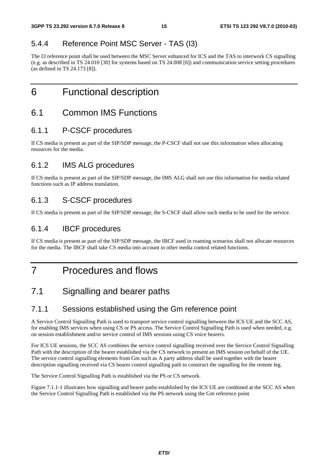## 5.4.4 Reference Point MSC Server - TAS (I3)

The I3 reference point shall be used between the MSC Server enhanced for ICS and the TAS to interwork CS signalling (e.g. as described in TS 24.010 [30] for systems based on TS 24.008 [6]) and communication service setting procedures (as defined in TS 24.173 [8]).

6 Functional description

## 6.1 Common IMS Functions

### 6.1.1 P-CSCF procedures

If CS media is present as part of the SIP/SDP message, the P-CSCF shall not use this information when allocating resources for the media.

## 6.1.2 IMS ALG procedures

If CS media is present as part of the SIP/SDP message, the IMS ALG shall not use this information for media related functions such as IP address translation.

## 6.1.3 S-CSCF procedures

If CS media is present as part of the SIP/SDP message, the S-CSCF shall allow such media to be used for the service.

## 6.1.4 IBCF procedures

If CS media is present as part of the SIP/SDP message, the IBCF used in roaming scenarios shall not allocate resources for the media. The IBCF shall take CS media into account in other media control related functions.

## 7 Procedures and flows

## 7.1 Signalling and bearer paths

## 7.1.1 Sessions established using the Gm reference point

A Service Control Signalling Path is used to transport service control signalling between the ICS UE and the SCC AS, for enabling IMS services when using CS or PS access. The Service Control Signalling Path is used when needed, e.g. on session establishment and/or service control of IMS sessions using CS voice bearers.

For ICS UE sessions, the SCC AS combines the service control signalling received over the Service Control Signalling Path with the description of the bearer established via the CS network to present an IMS session on behalf of the UE. The service control signalling elements from Gm such as A party address shall be used together with the bearer description signalling received via CS bearer control signalling path to construct the signalling for the remote leg.

The Service Control Signalling Path is established via the PS or CS network.

Figure 7.1.1-1 illustrates how signalling and bearer paths established by the ICS UE are combined at the SCC AS when the Service Control Signalling Path is established via the PS network using the Gm reference point.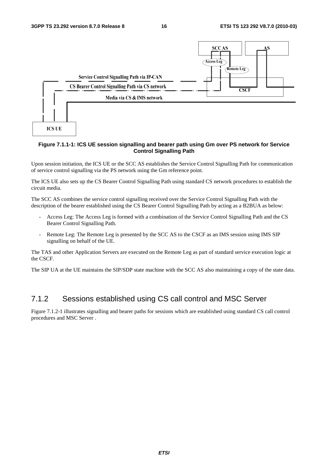

#### **Figure 7.1.1-1: ICS UE session signalling and bearer path using Gm over PS network for Service Control Signalling Path**

Upon session initiation, the ICS UE or the SCC AS establishes the Service Control Signalling Path for communication of service control signalling via the PS network using the Gm reference point.

The ICS UE also sets up the CS Bearer Control Signalling Path using standard CS network procedures to establish the circuit media.

The SCC AS combines the service control signalling received over the Service Control Signalling Path with the description of the bearer established using the CS Bearer Control Signalling Path by acting as a B2BUA as below:

- Access Leg: The Access Leg is formed with a combination of the Service Control Signalling Path and the CS Bearer Control Signalling Path.
- Remote Leg: The Remote Leg is presented by the SCC AS to the CSCF as an IMS session using IMS SIP signalling on behalf of the UE.

The TAS and other Application Servers are executed on the Remote Leg as part of standard service execution logic at the CSCF.

The SIP UA at the UE maintains the SIP/SDP state machine with the SCC AS also maintaining a copy of the state data.

### 7.1.2 Sessions established using CS call control and MSC Server

Figure 7.1.2-1 illustrates signalling and bearer paths for sessions which are established using standard CS call control procedures and MSC Server .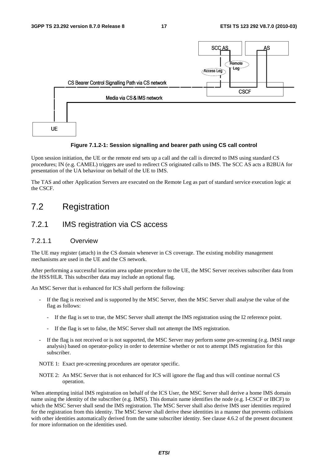

#### **Figure 7.1.2-1: Session signalling and bearer path using CS call control**

Upon session initiation, the UE or the remote end sets up a call and the call is directed to IMS using standard CS procedures; IN (e.g. CAMEL) triggers are used to redirect CS originated calls to IMS. The SCC AS acts a B2BUA for presentation of the UA behaviour on behalf of the UE to IMS.

The TAS and other Application Servers are executed on the Remote Leg as part of standard service execution logic at the CSCF.

## 7.2 Registration

### 7.2.1 IMS registration via CS access

### 7.2.1.1 Overview

The UE may register (attach) in the CS domain whenever in CS coverage. The existing mobility management mechanisms are used in the UE and the CS network.

After performing a successful location area update procedure to the UE, the MSC Server receives subscriber data from the HSS/HLR. This subscriber data may include an optional flag.

An MSC Server that is enhanced for ICS shall perform the following:

- If the flag is received and is supported by the MSC Server, then the MSC Server shall analyse the value of the flag as follows:
	- If the flag is set to true, the MSC Server shall attempt the IMS registration using the I2 reference point.
	- If the flag is set to false, the MSC Server shall not attempt the IMS registration.
- If the flag is not received or is not supported, the MSC Server may perform some pre-screening (e.g. IMSI range analysis) based on operator-policy in order to determine whether or not to attempt IMS registration for this subscriber.

NOTE 1: Exact pre-screening procedures are operator specific.

NOTE 2: An MSC Server that is not enhanced for ICS will ignore the flag and thus will continue normal CS operation.

When attempting initial IMS registration on behalf of the ICS User, the MSC Server shall derive a home IMS domain name using the identity of the subscriber (e.g. IMSI). This domain name identifies the node (e.g. I-CSCF or IBCF) to which the MSC Server shall send the IMS registration. The MSC Server shall also derive IMS user identities required for the registration from this identity. The MSC Server shall derive these identities in a manner that prevents collisions with other identities automatically derived from the same subscriber identity. See clause 4.6.2 of the present document for more information on the identities used.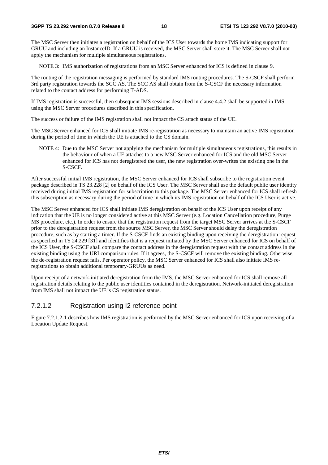The MSC Server then initiates a registration on behalf of the ICS User towards the home IMS indicating support for GRUU and including an InstanceID. If a GRUU is received, the MSC Server shall store it. The MSC Server shall not apply the mechanism for multiple simultaneous registrations.

NOTE 3: IMS authorization of registrations from an MSC Server enhanced for ICS is defined in clause 9.

The routing of the registration messaging is performed by standard IMS routing procedures. The S-CSCF shall perform 3rd party registration towards the SCC AS. The SCC AS shall obtain from the S-CSCF the necessary information related to the contact address for performing T-ADS.

If IMS registration is successful, then subsequent IMS sessions described in clause 4.4.2 shall be supported in IMS using the MSC Server procedures described in this specification.

The success or failure of the IMS registration shall not impact the CS attach status of the UE.

The MSC Server enhanced for ICS shall initiate IMS re-registration as necessary to maintain an active IMS registration during the period of time in which the UE is attached to the CS domain.

NOTE 4: Due to the MSC Server not applying the mechanism for multiple simultaneous registrations, this results in the behaviour of when a UE attaches to a new MSC Server enhanced for ICS and the old MSC Server enhanced for ICS has not deregistered the user, the new registration over-writes the existing one in the S-CSCF.

After successful initial IMS registration, the MSC Server enhanced for ICS shall subscribe to the registration event package described in TS 23.228 [2] on behalf of the ICS User. The MSC Server shall use the default public user identity received during initial IMS registration for subscription to this package. The MSC Server enhanced for ICS shall refresh this subscription as necessary during the period of time in which its IMS registration on behalf of the ICS User is active.

The MSC Server enhanced for ICS shall initiate IMS deregistration on behalf of the ICS User upon receipt of any indication that the UE is no longer considered active at this MSC Server (e.g. Location Cancellation procedure, Purge MS procedure, etc.). In order to ensure that the registration request from the target MSC Server arrives at the S-CSCF prior to the deregistration request from the source MSC Server, the MSC Server should delay the deregistration procedure, such as by starting a timer. If the S-CSCF finds an existing binding upon receiving the deregistration request as specified in TS 24.229 [31] and identifies that is a request initiated by the MSC Server enhanced for ICS on behalf of the ICS User, the S-CSCF shall compare the contact address in the deregistration request with the contact address in the existing binding using the URI comparison rules. If it agrees, the S-CSCF will remove the existing binding. Otherwise, the de-registration request fails. Per operator policy, the MSC Server enhanced for ICS shall also initiate IMS reregistrations to obtain additional temporary-GRUUs as need.

Upon receipt of a network-initiated deregistration from the IMS, the MSC Server enhanced for ICS shall remove all registration details relating to the public user identities contained in the deregistration. Network-initiated deregistration from IMS shall not impact the UE"s CS registration status.

### 7.2.1.2 Registration using I2 reference point

Figure 7.2.1.2-1 describes how IMS registration is performed by the MSC Server enhanced for ICS upon receiving of a Location Update Request.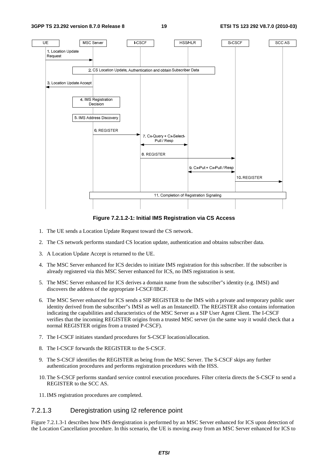

**Figure 7.2.1.2-1: Initial IMS Registration via CS Access** 

- 1. The UE sends a Location Update Request toward the CS network.
- 2. The CS network performs standard CS location update, authentication and obtains subscriber data.
- 3. A Location Update Accept is returned to the UE.
- 4. The MSC Server enhanced for ICS decides to initiate IMS registration for this subscriber. If the subscriber is already registered via this MSC Server enhanced for ICS, no IMS registration is sent.
- 5. The MSC Server enhanced for ICS derives a domain name from the subscriber"s identity (e.g. IMSI) and discovers the address of the appropriate I-CSCF/IBCF.
- 6. The MSC Server enhanced for ICS sends a SIP REGISTER to the IMS with a private and temporary public user identity derived from the subscriber"s IMSI as well as an InstanceID. The REGISTER also contains information indicating the capabilities and characteristics of the MSC Server as a SIP User Agent Client. The I-CSCF verifies that the incoming REGISTER origins from a trusted MSC server (in the same way it would check that a normal REGISTER origins from a trusted P-CSCF).
- 7. The I-CSCF initiates standard procedures for S-CSCF location/allocation.
- 8. The I-CSCF forwards the REGISTER to the S-CSCF.
- 9. The S-CSCF identifies the REGISTER as being from the MSC Server. The S-CSCF skips any further authentication procedures and performs registration procedures with the HSS.
- 10. The S-CSCF performs standard service control execution procedures. Filter criteria directs the S-CSCF to send a REGISTER to the SCC AS.
- 11. IMS registration procedures are completed.

### 7.2.1.3 Deregistration using I2 reference point

Figure 7.2.1.3-1 describes how IMS deregistration is performed by an MSC Server enhanced for ICS upon detection of the Location Cancellation procedure. In this scenario, the UE is moving away from an MSC Server enhanced for ICS to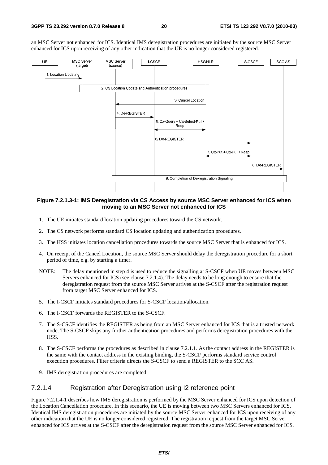an MSC Server not enhanced for ICS. Identical IMS deregistration procedures are initiated by the source MSC Server enhanced for ICS upon receiving of any other indication that the UE is no longer considered registered.



**Figure 7.2.1.3-1: IMS Deregistration via CS Access by source MSC Server enhanced for ICS when moving to an MSC Server not enhanced for ICS** 

- 1. The UE initiates standard location updating procedures toward the CS network.
- 2. The CS network performs standard CS location updating and authentication procedures.
- 3. The HSS initiates location cancellation procedures towards the source MSC Server that is enhanced for ICS.
- 4. On receipt of the Cancel Location, the source MSC Server should delay the deregistration procedure for a short period of time, e.g. by starting a timer.
- NOTE: The delay mentioned in step 4 is used to reduce the signalling at S-CSCF when UE moves between MSC Servers enhanced for ICS (see clause 7.2.1.4). The delay needs to be long enough to ensure that the deregistration request from the source MSC Server arrives at the S-CSCF after the registration request from target MSC Server enhanced for ICS.
- 5. The I-CSCF initiates standard procedures for S-CSCF location/allocation.
- 6. The I-CSCF forwards the REGISTER to the S-CSCF.
- 7. The S-CSCF identifies the REGISTER as being from an MSC Server enhanced for ICS that is a trusted network node. The S-CSCF skips any further authentication procedures and performs deregistration procedures with the HSS.
- 8. The S-CSCF performs the procedures as described in clause 7.2.1.1. As the contact address in the REGISTER is the same with the contact address in the existing binding, the S-CSCF performs standard service control execution procedures. Filter criteria directs the S-CSCF to send a REGISTER to the SCC AS.
- 9. IMS deregistration procedures are completed.

#### 7.2.1.4 Registration after Deregistration using I2 reference point

Figure 7.2.1.4-1 describes how IMS deregistration is performed by the MSC Server enhanced for ICS upon detection of the Location Cancellation procedure. In this scenario, the UE is moving between two MSC Servers enhanced for ICS. Identical IMS deregistration procedures are initiated by the source MSC Server enhanced for ICS upon receiving of any other indication that the UE is no longer considered registered. The registration request from the target MSC Server enhanced for ICS arrives at the S-CSCF after the deregistration request from the source MSC Server enhanced for ICS.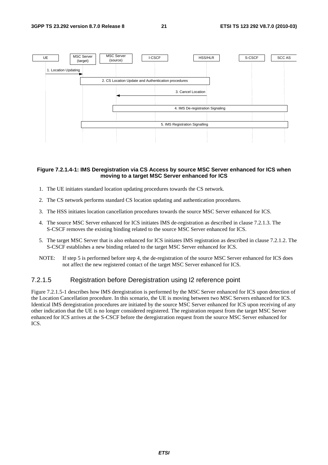

#### **Figure 7.2.1.4-1: IMS Deregistration via CS Access by source MSC Server enhanced for ICS when moving to a target MSC Server enhanced for ICS**

- 1. The UE initiates standard location updating procedures towards the CS network.
- 2. The CS network performs standard CS location updating and authentication procedures.
- 3. The HSS initiates location cancellation procedures towards the source MSC Server enhanced for ICS.
- 4. The source MSC Server enhanced for ICS initiates IMS de-registration as described in clause 7.2.1.3. The S-CSCF removes the existing binding related to the source MSC Server enhanced for ICS.
- 5. The target MSC Server that is also enhanced for ICS initiates IMS registration as described in clause 7.2.1.2. The S-CSCF establishes a new binding related to the target MSC Server enhanced for ICS.
- NOTE: If step 5 is performed before step 4, the de-registration of the source MSC Server enhanced for ICS does not affect the new registered contact of the target MSC Server enhanced for ICS.

#### 7.2.1.5 Registration before Deregistration using I2 reference point

Figure 7.2.1.5-1 describes how IMS deregistration is performed by the MSC Server enhanced for ICS upon detection of the Location Cancellation procedure. In this scenario, the UE is moving between two MSC Servers enhanced for ICS. Identical IMS deregistration procedures are initiated by the source MSC Server enhanced for ICS upon receiving of any other indication that the UE is no longer considered registered. The registration request from the target MSC Server enhanced for ICS arrives at the S-CSCF before the deregistration request from the source MSC Server enhanced for ICS.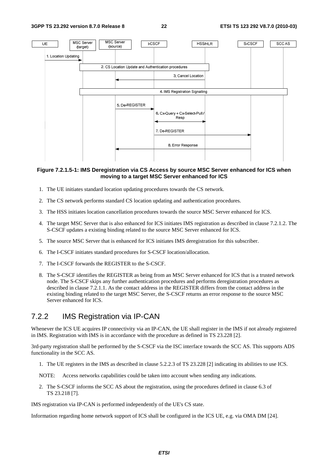

#### **Figure 7.2.1.5-1: IMS Deregistration via CS Access by source MSC Server enhanced for ICS when moving to a target MSC Server enhanced for ICS**

- 1. The UE initiates standard location updating procedures towards the CS network.
- 2. The CS network performs standard CS location updating and authentication procedures.
- 3. The HSS initiates location cancellation procedures towards the source MSC Server enhanced for ICS.
- 4. The target MSC Server that is also enhanced for ICS initiates IMS registration as described in clause 7.2.1.2. The S-CSCF updates a existing binding related to the source MSC Server enhanced for ICS.
- 5. The source MSC Server that is enhanced for ICS initiates IMS deregistration for this subscriber.
- 6. The I-CSCF initiates standard procedures for S-CSCF location/allocation.
- 7. The I-CSCF forwards the REGISTER to the S-CSCF.
- 8. The S-CSCF identifies the REGISTER as being from an MSC Server enhanced for ICS that is a trusted network node. The S-CSCF skips any further authentication procedures and performs deregistration procedures as described in clause 7.2.1.1. As the contact address in the REGISTER differs from the contact address in the existing binding related to the target MSC Server, the S-CSCF returns an error response to the source MSC Server enhanced for ICS.

### 7.2.2 IMS Registration via IP-CAN

Whenever the ICS UE acquires IP connectivity via an IP-CAN, the UE shall register in the IMS if not already registered in IMS. Registration with IMS is in accordance with the procedure as defined in TS 23.228 [2].

3rd-party registration shall be performed by the S-CSCF via the ISC interface towards the SCC AS. This supports ADS functionality in the SCC AS.

- 1. The UE registers in the IMS as described in clause 5.2.2.3 of TS 23.228 [2] indicating its abilities to use ICS.
- NOTE: Access networks capabilities could be taken into account when sending any indications.
- 2. The S-CSCF informs the SCC AS about the registration, using the procedures defined in clause 6.3 of TS 23.218 [7].

IMS registration via IP-CAN is performed independently of the UE's CS state.

Information regarding home network support of ICS shall be configured in the ICS UE, e.g. via OMA DM [24].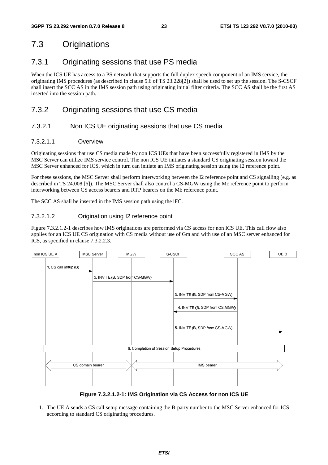## 7.3 Originations

## 7.3.1 Originating sessions that use PS media

When the ICS UE has access to a PS network that supports the full duplex speech component of an IMS service, the originating IMS procedures (as described in clause 5.6 of TS 23.228[2]) shall be used to set up the session. The S-CSCF shall insert the SCC AS in the IMS session path using originating initial filter criteria. The SCC AS shall be the first AS inserted into the session path.

## 7.3.2 Originating sessions that use CS media

### 7.3.2.1 Non ICS UE originating sessions that use CS media

#### 7.3.2.1.1 Overview

Originating sessions that use CS media made by non ICS UEs that have been successfully registered in IMS by the MSC Server can utilize IMS service control. The non ICS UE initiates a standard CS originating session toward the MSC Server enhanced for ICS, which in turn can initiate an IMS originating session using the I2 reference point.

For these sessions, the MSC Server shall perform interworking between the I2 reference point and CS signalling (e.g. as described in TS 24.008 [6]). The MSC Server shall also control a CS-MGW using the Mc reference point to perform interworking between CS access bearers and RTP bearers on the Mb reference point.

The SCC AS shall be inserted in the IMS session path using the iFC.

### 7.3.2.1.2 Origination using I2 reference point

Figure 7.3.2.1.2-1 describes how IMS originations are performed via CS access for non ICS UE. This call flow also applies for an ICS UE CS origination with CS media without use of Gm and with use of an MSC server enhanced for ICS, as specified in clause 7.3.2.2.3.



**Figure 7.3.2.1.2-1: IMS Origination via CS Access for non ICS UE** 

1. The UE A sends a CS call setup message containing the B-party number to the MSC Server enhanced for ICS according to standard CS originating procedures.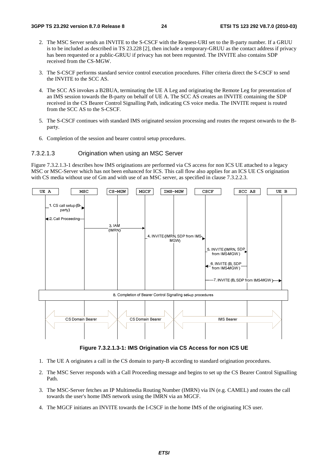- 2. The MSC Server sends an INVITE to the S-CSCF with the Request-URI set to the B-party number. If a GRUU is to be included as described in TS 23.228 [2], then include a temporary-GRUU as the contact address if privacy has been requested or a public-GRUU if privacy has not been requested. The INVITE also contains SDP received from the CS-MGW.
- 3. The S-CSCF performs standard service control execution procedures. Filter criteria direct the S-CSCF to send the INVITE to the SCC AS.
- 4. The SCC AS invokes a B2BUA, terminating the UE A Leg and originating the Remote Leg for presentation of an IMS session towards the B-party on behalf of UE A. The SCC AS creates an INVITE containing the SDP received in the CS Bearer Control Signalling Path, indicating CS voice media. The INVITE request is routed from the SCC AS to the S-CSCF.
- 5. The S-CSCF continues with standard IMS originated session processing and routes the request onwards to the Bparty.
- 6. Completion of the session and bearer control setup procedures.

#### 7.3.2.1.3 Origination when using an MSC Server

Figure 7.3.2.1.3-1 describes how IMS originations are performed via CS access for non ICS UE attached to a legacy MSC or MSC-Server which has not been enhanced for ICS. This call flow also applies for an ICS UE CS origination with CS media without use of Gm and with use of an MSC server, as specified in clause 7.3.2.2.3.



**Figure 7.3.2.1.3-1: IMS Origination via CS Access for non ICS UE** 

- 1. The UE A originates a call in the CS domain to party-B according to standard origination procedures.
- 2. The MSC Server responds with a Call Proceeding message and begins to set up the CS Bearer Control Signalling Path.
- 3. The MSC-Server fetches an IP Multimedia Routing Number (IMRN) via IN (e.g. CAMEL) and routes the call towards the user's home IMS network using the IMRN via an MGCF.
- 4. The MGCF initiates an INVITE towards the I-CSCF in the home IMS of the originating ICS user.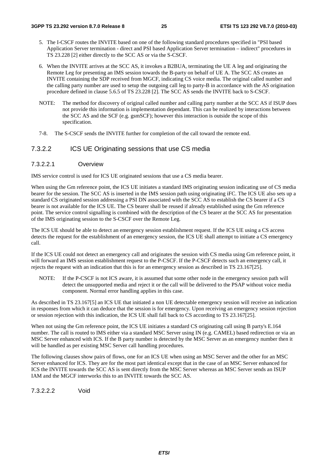- 5. The I-CSCF routes the INVITE based on one of the following standard procedures specified in "PSI based Application Server termination - direct and PSI based Application Server termination – indirect" procedures in TS 23.228 [2] either directly to the SCC AS or via the S-CSCF.
- 6. When the INVITE arrives at the SCC AS, it invokes a B2BUA, terminating the UE A leg and originating the Remote Leg for presenting an IMS session towards the B-party on behalf of UE A. The SCC AS creates an INVITE containing the SDP received from MGCF, indicating CS voice media. The original called number and the calling party number are used to setup the outgoing call leg to party-B in accordance with the AS origination procedure defined in clause 5.6.5 of TS 23.228 [2]. The SCC AS sends the INVITE back to S-CSCF.
- NOTE: The method for discovery of original called number and calling party number at the SCC AS if ISUP does not provide this information is implementation dependant. This can be realized by interactions between the SCC AS and the SCF (e.g. gsmSCF); however this interaction is outside the scope of this specification.
- 7-8. The S-CSCF sends the INVITE further for completion of the call toward the remote end.

### 7.3.2.2 ICS UE Originating sessions that use CS media

#### 7.3.2.2.1 Overview

IMS service control is used for ICS UE originated sessions that use a CS media bearer.

When using the Gm reference point, the ICS UE initiates a standard IMS originating session indicating use of CS media bearer for the session. The SCC AS is inserted in the IMS session path using originating iFC. The ICS UE also sets up a standard CS originated session addressing a PSI DN associated with the SCC AS to establish the CS bearer if a CS bearer is not available for the ICS UE. The CS bearer shall be reused if already established using the Gm reference point. The service control signalling is combined with the description of the CS bearer at the SCC AS for presentation of the IMS originating session to the S-CSCF over the Remote Leg.

The ICS UE should be able to detect an emergency session establishment request. If the ICS UE using a CS access detects the request for the establishment of an emergency session, the ICS UE shall attempt to initiate a CS emergency call.

If the ICS UE could not detect an emergency call and originates the session with CS media using Gm reference point, it will forward an IMS session establishment request to the P-CSCF. If the P-CSCF detects such an emergency call, it rejects the request with an indication that this is for an emergency session as described in TS 23.167[25].

NOTE: If the P-CSCF is not ICS aware, it is assumed that some other node in the emergency session path will detect the unsupported media and reject it or the call will be delivered to the PSAP without voice media component. Normal error handling applies in this case.

As described in TS 23.167[5] an ICS UE that initiated a non UE detectable emergency session will receive an indication in responses from which it can deduce that the session is for emergency. Upon receiving an emergency session rejection or session rejection with this indication, the ICS UE shall fall back to CS according to TS 23.167[25].

When not using the Gm reference point, the ICS UE initiates a standard CS originating call using B party's E.164 number. The call is routed to IMS either via a standard MSC Server using IN (e.g. CAMEL) based redirection or via an MSC Server enhanced with ICS. If the B party number is detected by the MSC Server as an emergency number then it will be handled as per existing MSC Server call handling procedures.

The following clauses show pairs of flows, one for an ICS UE when using an MSC Server and the other for an MSC Server enhanced for ICS. They are for the most part identical except that in the case of an MSC Server enhanced for ICS the INVITE towards the SCC AS is sent directly from the MSC Server whereas an MSC Server sends an ISUP IAM and the MGCF interworks this to an INVITE towards the SCC AS.

7.3.2.2.2 Void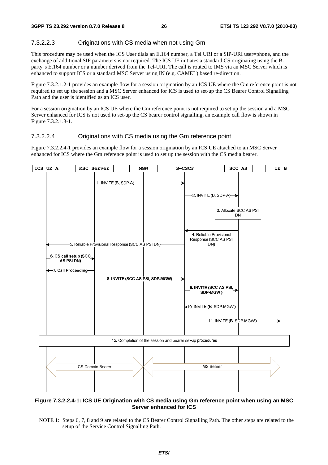#### 7.3.2.2.3 Originations with CS media when not using Gm

This procedure may be used when the ICS User dials an E.164 number, a Tel URI or a SIP-URI user=phone, and the exchange of additional SIP parameters is not required. The ICS UE initiates a standard CS originating using the Bparty"s E.164 number or a number derived from the Tel-URI. The call is routed to IMS via an MSC Server which is enhanced to support ICS or a standard MSC Server using IN (e.g. CAMEL) based re-direction.

Figure 7.3.2.1.2-1 provides an example flow for a session origination by an ICS UE where the Gm reference point is not required to set up the session and a MSC Server enhanced for ICS is used to set-up the CS Bearer Control Signalling Path and the user is identified as an ICS user.

For a session origination by an ICS UE where the Gm reference point is not required to set up the session and a MSC Server enhanced for ICS is not used to set-up the CS bearer control signalling, an example call flow is shown in Figure 7.3.2.1.3-1.

#### 7.3.2.2.4 Originations with CS media using the Gm reference point

Figure 7.3.2.2.4-1 provides an example flow for a session origination by an ICS UE attached to an MSC Server enhanced for ICS where the Gm reference point is used to set up the session with the CS media bearer.



#### **Figure 7.3.2.2.4-1: ICS UE Origination with CS media using Gm reference point when using an MSC Server enhanced for ICS**

NOTE 1: Steps 6, 7, 8 and 9 are related to the CS Bearer Control Signalling Path. The other steps are related to the setup of the Service Control Signalling Path.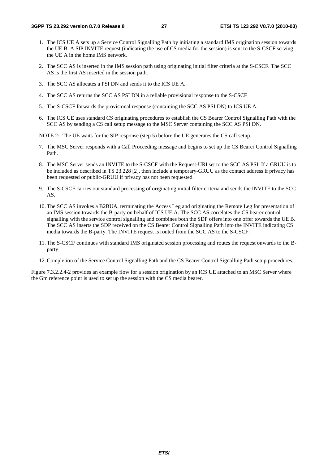- 1. The ICS UE A sets up a Service Control Signalling Path by initiating a standard IMS origination session towards the UE B. A SIP INVITE request (indicating the use of CS media for the session) is sent to the S-CSCF serving the UE A in the home IMS network.
- 2. The SCC AS is inserted in the IMS session path using originating initial filter criteria at the S-CSCF. The SCC AS is the first AS inserted in the session path.
- 3. The SCC AS allocates a PSI DN and sends it to the ICS UE A.
- 4. The SCC AS returns the SCC AS PSI DN in a reliable provisional response to the S-CSCF
- 5. The S-CSCF forwards the provisional response (containing the SCC AS PSI DN) to ICS UE A.
- 6. The ICS UE uses standard CS originating procedures to establish the CS Bearer Control Signalling Path with the SCC AS by sending a CS call setup message to the MSC Server containing the SCC AS PSI DN.
- NOTE 2: The UE waits for the SIP response (step 5) before the UE generates the CS call setup.
- 7. The MSC Server responds with a Call Proceeding message and begins to set up the CS Bearer Control Signalling Path.
- 8. The MSC Server sends an INVITE to the S-CSCF with the Request-URI set to the SCC AS PSI. If a GRUU is to be included as described in TS 23.228 [2], then include a temporary-GRUU as the contact address if privacy has been requested or public-GRUU if privacy has not been requested.
- 9. The S-CSCF carries out standard processing of originating initial filter criteria and sends the INVITE to the SCC AS.
- 10. The SCC AS invokes a B2BUA, terminating the Access Leg and originating the Remote Leg for presentation of an IMS session towards the B-party on behalf of ICS UE A. The SCC AS correlates the CS bearer control signalling with the service control signalling and combines both the SDP offers into one offer towards the UE B. The SCC AS inserts the SDP received on the CS Bearer Control Signalling Path into the INVITE indicating CS media towards the B-party. The INVITE request is routed from the SCC AS to the S-CSCF.
- 11. The S-CSCF continues with standard IMS originated session processing and routes the request onwards to the Bparty
- 12. Completion of the Service Control Signalling Path and the CS Bearer Control Signalling Path setup procedures.

Figure 7.3.2.2.4-2 provides an example flow for a session origination by an ICS UE attached to an MSC Server where the Gm reference point is used to set up the session with the CS media bearer.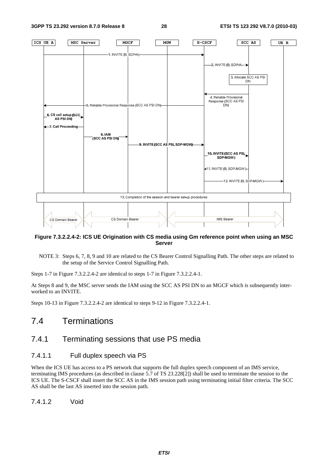

#### **Figure 7.3.2.2.4-2: ICS UE Origination with CS media using Gm reference point when using an MSC Server**

NOTE 3: Steps 6, 7, 8, 9 and 10 are related to the CS Bearer Control Signalling Path. The other steps are related to the setup of the Service Control Signalling Path.

Steps 1-7 in Figure 7.3.2.2.4-2 are identical to steps 1-7 in Figure 7.3.2.2.4-1.

At Steps 8 and 9, the MSC server sends the IAM using the SCC AS PSI DN to an MGCF which is subsequently interworked to an INVITE.

Steps 10-13 in Figure 7.3.2.2.4-2 are identical to steps 9-12 in Figure 7.3.2.2.4-1.

## 7.4 Terminations

## 7.4.1 Terminating sessions that use PS media

### 7.4.1.1 Full duplex speech via PS

When the ICS UE has access to a PS network that supports the full duplex speech component of an IMS service, terminating IMS procedures (as described in clause 5.7 of TS 23.228[2]) shall be used to terminate the session to the ICS UE. The S-CSCF shall insert the SCC AS in the IMS session path using terminating initial filter criteria. The SCC AS shall be the last AS inserted into the session path.

7.4.1.2 Void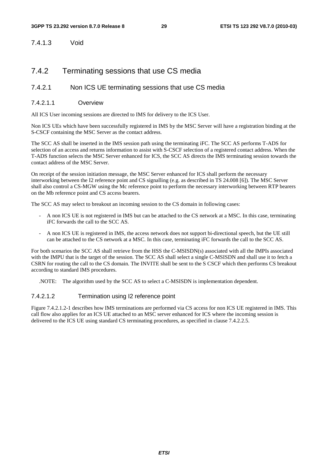7.4.1.3 Void

### 7.4.2 Terminating sessions that use CS media

### 7.4.2.1 Non ICS UE terminating sessions that use CS media

#### 7.4.2.1.1 Overview

All ICS User incoming sessions are directed to IMS for delivery to the ICS User.

Non ICS UEs which have been successfully registered in IMS by the MSC Server will have a registration binding at the S-CSCF containing the MSC Server as the contact address.

The SCC AS shall be inserted in the IMS session path using the terminating iFC. The SCC AS performs T-ADS for selection of an access and returns information to assist with S-CSCF selection of a registered contact address. When the T-ADS function selects the MSC Server enhanced for ICS, the SCC AS directs the IMS terminating session towards the contact address of the MSC Server.

On receipt of the session initiation message, the MSC Server enhanced for ICS shall perform the necessary interworking between the I2 reference point and CS signalling (e.g. as described in TS 24.008 [6]). The MSC Server shall also control a CS-MGW using the Mc reference point to perform the necessary interworking between RTP bearers on the Mb reference point and CS access bearers.

The SCC AS may select to breakout an incoming session to the CS domain in following cases:

- A non ICS UE is not registered in IMS but can be attached to the CS network at a MSC. In this case, terminating iFC forwards the call to the SCC AS.
- A non ICS UE is registered in IMS, the access network does not support bi-directional speech, but the UE still can be attached to the CS network at a MSC. In this case, terminating iFC forwards the call to the SCC AS.

For both scenarios the SCC AS shall retrieve from the HSS the C-MSISDN(s) associated with all the IMPIs associated with the IMPU that is the target of the session. The SCC AS shall select a single C-MSISDN and shall use it to fetch a CSRN for routing the call to the CS domain. The INVITE shall be sent to the S CSCF which then performs CS breakout according to standard IMS procedures.

.NOTE: The algorithm used by the SCC AS to select a C-MSISDN is implementation dependent.

#### 7.4.2.1.2 Termination using I2 reference point

Figure 7.4.2.1.2-1 describes how IMS terminations are performed via CS access for non ICS UE registered in IMS. This call flow also applies for an ICS UE attached to an MSC server enhanced for ICS where the incoming session is delivered to the ICS UE using standard CS terminating procedures, as specified in clause 7.4.2.2.5.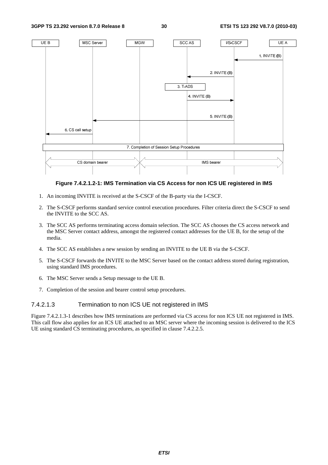#### **3GPP TS 23.292 version 8.7.0 Release 8 30 ETSI TS 123 292 V8.7.0 (2010-03)**



#### **Figure 7.4.2.1.2-1: IMS Termination via CS Access for non ICS UE registered in IMS**

- 1. An incoming INVITE is received at the S-CSCF of the B-party via the I-CSCF.
- 2. The S-CSCF performs standard service control execution procedures. Filter criteria direct the S-CSCF to send the INVITE to the SCC AS.
- 3. The SCC AS performs terminating access domain selection. The SCC AS chooses the CS access network and the MSC Server contact address, amongst the registered contact addresses for the UE B, for the setup of the media.
- 4. The SCC AS establishes a new session by sending an INVITE to the UE B via the S-CSCF.
- 5. The S-CSCF forwards the INVITE to the MSC Server based on the contact address stored during registration, using standard IMS procedures.
- 6. The MSC Server sends a Setup message to the UE B.
- 7. Completion of the session and bearer control setup procedures.

#### 7.4.2.1.3 Termination to non ICS UE not registered in IMS

Figure 7.4.2.1.3-1 describes how IMS terminations are performed via CS access for non ICS UE not registered in IMS. This call flow also applies for an ICS UE attached to an MSC server where the incoming session is delivered to the ICS UE using standard CS terminating procedures, as specified in clause 7.4.2.2.5.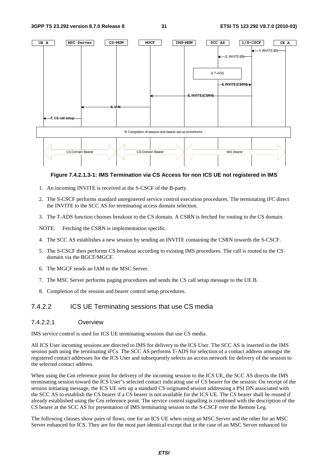

**Figure 7.4.2.1.3-1: IMS Termination via CS Access for non ICS UE not registered in IMS** 

- 1. An incoming INVITE is received at the S-CSCF of the B-party.
- 2. The S-CSCF performs standard unregistered service control execution procedures. The terminating iFC direct the INVITE to the SCC AS for terminating access domain selection.
- 3. The T-ADS function chooses breakout to the CS domain. A CSRN is fetched for routing to the CS domain.

NOTE: Fetching the CSRN is implementation specific.

- 4. The SCC AS establishes a new session by sending an INVITE containing the CSRN towards the S-CSCF.
- 5. The S-CSCF then performs CS breakout according to existing IMS procedures. The call is routed to the CS domain via the BGCF/MGCF.
- 6. The MGCF sends an IAM to the MSC Server.
- 7. The MSC Server performs paging procedures and sends the CS call setup message to the UE B.
- 8. Completion of the session and bearer control setup procedures.

#### 7.4.2.2 ICS UE Terminating sessions that use CS media

#### 7.4.2.2.1 Overview

IMS service control is used for ICS UE terminating sessions that use CS media.

All ICS User incoming sessions are directed to IMS for delivery to the ICS User. The SCC AS is inserted in the IMS session path using the terminating iFCs. The SCC AS performs T-ADS for selection of a contact address amongst the registered contact addresses for the ICS User and subsequently selects an access network for delivery of the session to the selected contact address.

When using the Gm reference point for delivery of the incoming session to the ICS UE, the SCC AS directs the IMS terminating session toward the ICS User"s selected contact indicating use of CS bearer for the session. On receipt of the session initiating message, the ICS UE sets up a standard CS originated session addressing a PSI DN associated with the SCC AS to establish the CS bearer if a CS bearer is not available for the ICS UE. The CS bearer shall be reused if already established using the Gm reference point. The service control signalling is combined with the description of the CS bearer at the SCC AS for presentation of IMS terminating session to the S-CSCF over the Remote Leg.

The following clauses show pairs of flows, one for an ICS UE when using an MSC Server and the other for an MSC Server enhanced for ICS. They are for the most part identical except that in the case of an MSC Server enhanced for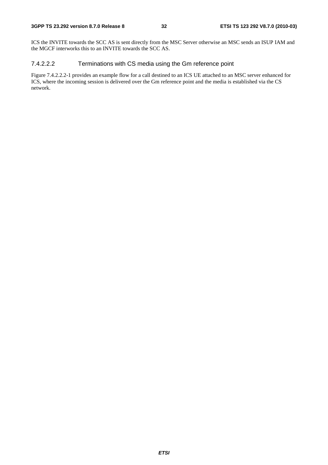ICS the INVITE towards the SCC AS is sent directly from the MSC Server otherwise an MSC sends an ISUP IAM and the MGCF interworks this to an INVITE towards the SCC AS.

### 7.4.2.2.2 Terminations with CS media using the Gm reference point

Figure 7.4.2.2.2-1 provides an example flow for a call destined to an ICS UE attached to an MSC server enhanced for ICS, where the incoming session is delivered over the Gm reference point and the media is established via the CS network.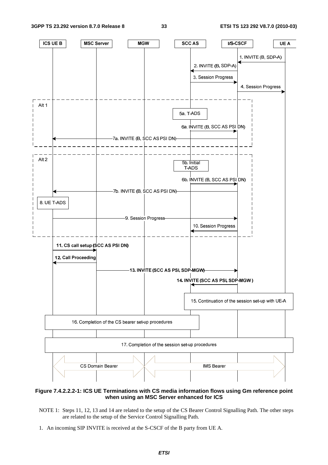

#### **Figure 7.4.2.2.2-1: ICS UE Terminations with CS media information flows using Gm reference point when using an MSC Server enhanced for ICS**

- NOTE 1: Steps 11, 12, 13 and 14 are related to the setup of the CS Bearer Control Signalling Path. The other steps are related to the setup of the Service Control Signalling Path.
- 1. An incoming SIP INVITE is received at the S-CSCF of the B party from UE A.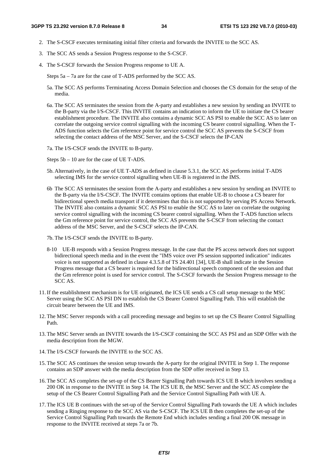- 2. The S-CSCF executes terminating initial filter criteria and forwards the INVITE to the SCC AS.
- 3. The SCC AS sends a Session Progress response to the S-CSCF.
- 4. The S-CSCF forwards the Session Progress response to UE A.

Steps 5a – 7a are for the case of T-ADS performed by the SCC AS.

- 5a. The SCC AS performs Terminating Access Domain Selection and chooses the CS domain for the setup of the media.
- 6a. The SCC AS terminates the session from the A-party and establishes a new session by sending an INVITE to the B-party via the I/S-CSCF. This INVITE contains an indication to inform the UE to initiate the CS bearer establishment procedure. The INVITE also contains a dynamic SCC AS PSI to enable the SCC AS to later on correlate the outgoing service control signalling with the incoming CS bearer control signalling. When the T-ADS function selects the Gm reference point for service control the SCC AS prevents the S-CSCF from selecting the contact address of the MSC Server, and the S-CSCF selects the IP-CAN
- 7a. The I/S-CSCF sends the INVITE to B-party.

Steps 5b – 10 are for the case of UE T-ADS.

- 5b. Alternatively, in the case of UE T-ADS as defined in clause 5.3.1, the SCC AS performs initial T-ADS selecting IMS for the service control signalling when UE-B is registered in the IMS.
- 6b The SCC AS terminates the session from the A-party and establishes a new session by sending an INVITE to the B-party via the I/S-CSCF. The INVITE contains options that enable UE-B to choose a CS bearer for bidirectional speech media transport if it determines that this is not supported by serving PS Access Network. The INVITE also contains a dynamic SCC AS PSI to enable the SCC AS to later on correlate the outgoing service control signalling with the incoming CS bearer control signalling. When the T-ADS function selects the Gm reference point for service control, the SCC AS prevents the S-CSCF from selecting the contact address of the MSC Server, and the S-CSCF selects the IP-CAN.
- 7b. The I/S-CSCF sends the INVITE to B-party.
- 8-10 UE-B responds with a Session Progress message. In the case that the PS access network does not support bidirectional speech media and in the event the "IMS voice over PS session supported indication" indicates voice is not supported as defined in clause 4.3.5.8 of TS 24.401 [34], UE-B shall indicate in the Session Progress message that a CS bearer is required for the bidirectional speech component of the session and that the Gm reference point is used for service control. The S-CSCF forwards the Session Progress message to the SCC AS.
- 11. If the establishment mechanism is for UE originated, the ICS UE sends a CS call setup message to the MSC Server using the SCC AS PSI DN to establish the CS Bearer Control Signalling Path. This will establish the circuit bearer between the UE and IMS.
- 12. The MSC Server responds with a call proceeding message and begins to set up the CS Bearer Control Signalling Path.
- 13. The MSC Server sends an INVITE towards the I/S-CSCF containing the SCC AS PSI and an SDP Offer with the media description from the MGW.
- 14. The I/S-CSCF forwards the INVITE to the SCC AS.
- 15. The SCC AS continues the session setup towards the A-party for the original INVITE in Step 1. The response contains an SDP answer with the media description from the SDP offer received in Step 13.
- 16. The SCC AS completes the set-up of the CS Bearer Signalling Path towards ICS UE B which involves sending a 200 OK in response to the INVITE in Step 14. The ICS UE B, the MSC Server and the SCC AS complete the setup of the CS Bearer Control Signalling Path and the Service Control Signalling Path with UE A.
- 17. The ICS UE B continues with the set-up of the Service Control Signalling Path towards the UE A which includes sending a Ringing response to the SCC AS via the S-CSCF. The ICS UE B then completes the set-up of the Service Control Signalling Path towards the Remote End which includes sending a final 200 OK message in response to the INVITE received at steps 7a or 7b.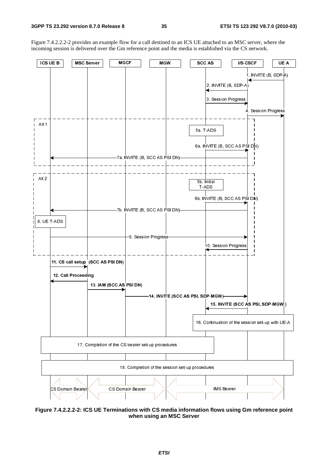Figure 7.4.2.2.2-2 provides an example flow for a call destined to an ICS UE attached to an MSC server, where the incoming session is delivered over the Gm reference point and the media is established via the CS network.



**Figure 7.4.2.2.2-2: ICS UE Terminations with CS media information flows using Gm reference point when using an MSC Server**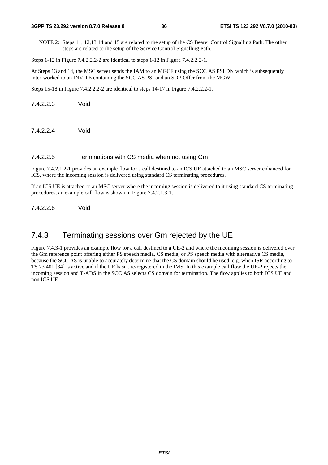NOTE 2: Steps 11, 12,13,14 and 15 are related to the setup of the CS Bearer Control Signalling Path. The other steps are related to the setup of the Service Control Signalling Path.

Steps 1-12 in Figure 7.4.2.2.2-2 are identical to steps 1-12 in Figure 7.4.2.2.2-1.

At Steps 13 and 14, the MSC server sends the IAM to an MGCF using the SCC AS PSI DN which is subsequently inter-worked to an INVITE containing the SCC AS PSI and an SDP Offer from the MGW.

Steps 15-18 in Figure 7.4.2.2.2-2 are identical to steps 14-17 in Figure 7.4.2.2.2-1.

7.4.2.2.3 Void

7.4.2.2.4 Void

#### 7.4.2.2.5 Terminations with CS media when not using Gm

Figure 7.4.2.1.2-1 provides an example flow for a call destined to an ICS UE attached to an MSC server enhanced for ICS, where the incoming session is delivered using standard CS terminating procedures.

If an ICS UE is attached to an MSC server where the incoming session is delivered to it using standard CS terminating procedures, an example call flow is shown in Figure 7.4.2.1.3-1.

7.4.2.2.6 Void

# 7.4.3 Terminating sessions over Gm rejected by the UE

Figure 7.4.3-1 provides an example flow for a call destined to a UE-2 and where the incoming session is delivered over the Gm reference point offering either PS speech media, CS media, or PS speech media with alternative CS media, because the SCC AS is unable to accurately determine that the CS domain should be used, e.g. when ISR according to TS 23.401 [34] is active and if the UE hasn't re-registered in the IMS. In this example call flow the UE-2 rejects the incoming session and T-ADS in the SCC AS selects CS domain for termination. The flow applies to both ICS UE and non ICS UE.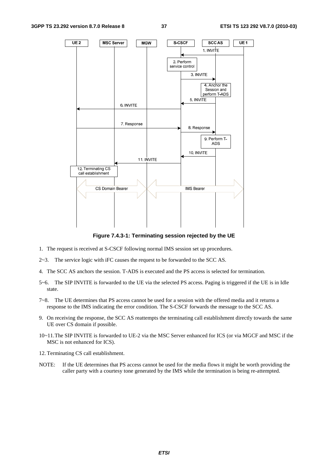

**Figure 7.4.3-1: Terminating session rejected by the UE** 

- 1. The request is received at S-CSCF following normal IMS session set up procedures.
- 2~3. The service logic with iFC causes the request to be forwarded to the SCC AS.
- 4. The SCC AS anchors the session. T-ADS is executed and the PS access is selected for termination.
- 5~6. The SIP INVITE is forwarded to the UE via the selected PS access. Paging is triggered if the UE is in Idle state.
- 7~8. The UE determines that PS access cannot be used for a session with the offered media and it returns a response to the IMS indicating the error condition. The S-CSCF forwards the message to the SCC AS.
- 9. On receiving the response, the SCC AS reattempts the terminating call establishment directly towards the same UE over CS domain if possible.
- 10~11. The SIP INVITE is forwarded to UE-2 via the MSC Server enhanced for ICS (or via MGCF and MSC if the MSC is not enhanced for ICS).
- 12. Terminating CS call establishment.
- NOTE: If the UE determines that PS access cannot be used for the media flows it might be worth providing the caller party with a courtesy tone generated by the IMS while the termination is being re-attempted.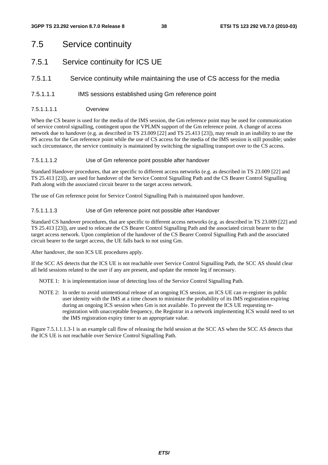# 7.5 Service continuity

# 7.5.1 Service continuity for ICS UE

# 7.5.1.1 Service continuity while maintaining the use of CS access for the media

## 7.5.1.1.1 IMS sessions established using Gm reference point

7.5.1.1.1.1 Overview

When the CS bearer is used for the media of the IMS session, the Gm reference point may be used for communication of service control signalling, contingent upon the VPLMN support of the Gm reference point. A change of access network due to handover (e.g. as described in TS 23.009 [22] and TS 25.413 [23]), may result in an inability to use the PS access for the Gm reference point while the use of CS access for the media of the IMS session is still possible; under such circumstance, the service continuity is maintained by switching the signalling transport over to the CS access.

### 7.5.1.1.1.2 Use of Gm reference point possible after handover

Standard Handover procedures, that are specific to different access networks (e.g. as described in TS 23.009 [22] and TS 25.413 [23]), are used for handover of the Service Control Signalling Path and the CS Bearer Control Signalling Path along with the associated circuit bearer to the target access network.

The use of Gm reference point for Service Control Signalling Path is maintained upon handover.

#### 7.5.1.1.1.3 Use of Gm reference point not possible after Handover

Standard CS handover procedures, that are specific to different access networks (e.g. as described in TS 23.009 [22] and TS 25.413 [23]), are used to relocate the CS Bearer Control Signalling Path and the associated circuit bearer to the target access network. Upon completion of the handover of the CS Bearer Control Signalling Path and the associated circuit bearer to the target access, the UE falls back to not using Gm.

After handover, the non ICS UE procedures apply.

If the SCC AS detects that the ICS UE is not reachable over Service Control Signalling Path, the SCC AS should clear all held sessions related to the user if any are present, and update the remote leg if necessary.

NOTE 1: It is implementation issue of detecting loss of the Service Control Signalling Path.

NOTE 2: In order to avoid unintentional release of an ongoing ICS session, an ICS UE can re-register its public user identity with the IMS at a time chosen to minimize the probability of its IMS registration expiring during an ongoing ICS session when Gm is not available. To prevent the ICS UE requesting reregistration with unacceptable frequency, the Registrar in a network implementing ICS would need to set the IMS registration expiry timer to an appropriate value.

Figure 7.5.1.1.1.3-1 is an example call flow of releasing the held session at the SCC AS when the SCC AS detects that the ICS UE is not reachable over Service Control Signalling Path.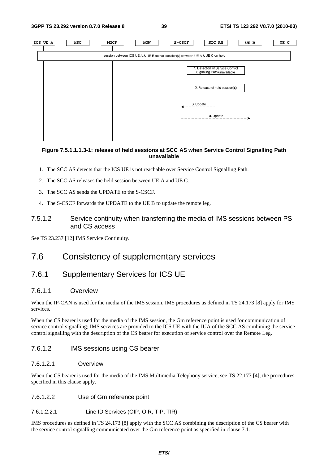**3GPP TS 23.292 version 8.7.0 Release 8 39 ETSI TS 123 292 V8.7.0 (2010-03)**



### **Figure 7.5.1.1.1.3-1: release of held sessions at SCC AS when Service Control Signalling Path unavailable**

- 1. The SCC AS detects that the ICS UE is not reachable over Service Control Signalling Path.
- 2. The SCC AS releases the held session between UE A and UE C.
- 3. The SCC AS sends the UPDATE to the S-CSCF.
- 4. The S-CSCF forwards the UPDATE to the UE B to update the remote leg.

# 7.5.1.2 Service continuity when transferring the media of IMS sessions between PS and CS access

See TS 23.237 [12] IMS Service Continuity.

# 7.6 Consistency of supplementary services

# 7.6.1 Supplementary Services for ICS UE

# 7.6.1.1 Overview

When the IP-CAN is used for the media of the IMS session, IMS procedures as defined in TS 24.173 [8] apply for IMS services.

When the CS bearer is used for the media of the IMS session, the Gm reference point is used for communication of service control signalling; IMS services are provided to the ICS UE with the IUA of the SCC AS combining the service control signalling with the description of the CS bearer for execution of service control over the Remote Leg.

## 7.6.1.2 IMS sessions using CS bearer

## 7.6.1.2.1 Overview

When the CS bearer is used for the media of the IMS Multimedia Telephony service, see TS 22.173 [4], the procedures specified in this clause apply.

7.6.1.2.2 Use of Gm reference point

7.6.1.2.2.1 Line ID Services (OIP, OIR, TIP, TIR)

IMS procedures as defined in TS 24.173 [8] apply with the SCC AS combining the description of the CS bearer with the service control signalling communicated over the Gm reference point as specified in clause 7.1.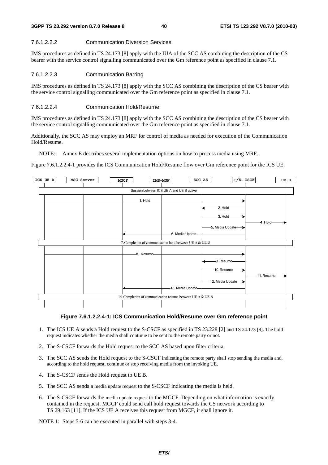#### 7.6.1.2.2.2 Communication Diversion Services

IMS procedures as defined in TS 24.173 [8] apply with the IUA of the SCC AS combining the description of the CS bearer with the service control signalling communicated over the Gm reference point as specified in clause 7.1.

#### 7.6.1.2.2.3 Communication Barring

IMS procedures as defined in TS 24.173 [8] apply with the SCC AS combining the description of the CS bearer with the service control signalling communicated over the Gm reference point as specified in clause 7.1.

#### 7.6.1.2.2.4 Communication Hold/Resume

IMS procedures as defined in TS 24.173 [8] apply with the SCC AS combining the description of the CS bearer with the service control signalling communicated over the Gm reference point as specified in clause 7.1.

Additionally, the SCC AS may employ an MRF for control of media as needed for execution of the Communication Hold/Resume.

NOTE: Annex E describes several implementation options on how to process media using MRF.

Figure 7.6.1.2.2.4-1 provides the ICS Communication Hold/Resume flow over Gm reference point for the ICS UE.





- 1. The ICS UE A sends a Hold request to the S-CSCF as specified in TS 23.228 [2] and TS 24.173 [8]. The hold request indicates whether the media shall continue to be sent to the remote party or not.
- 2. The S-CSCF forwards the Hold request to the SCC AS based upon filter criteria.
- 3. The SCC AS sends the Hold request to the S-CSCF indicating the remote party shall stop sending the media and, according to the hold request, continue or stop receiving media from the invoking UE.
- 4. The S-CSCF sends the Hold request to UE B.
- 5. The SCC AS sends a media update request to the S-CSCF indicating the media is held.
- 6. The S-CSCF forwards the media update request to the MGCF. Depending on what information is exactly contained in the request, MGCF could send call hold request towards the CS network according to TS 29.163 [11]. If the ICS UE A receives this request from MGCF, it shall ignore it.

NOTE 1: Steps 5-6 can be executed in parallel with steps 3-4.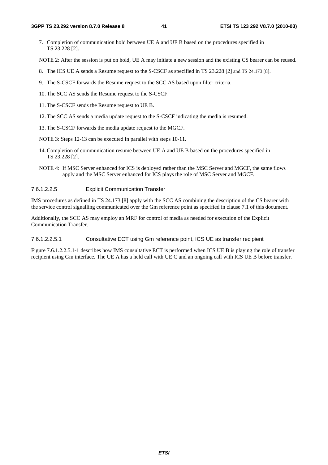7. Completion of communication hold between UE A and UE B based on the procedures specified in TS 23.228 [2].

NOTE 2: After the session is put on hold, UE A may initiate a new session and the existing CS bearer can be reused.

- 8. The ICS UE A sends a Resume request to the S-CSCF as specified in TS 23.228 [2] and TS 24.173 [8].
- 9. The S-CSCF forwards the Resume request to the SCC AS based upon filter criteria.
- 10. The SCC AS sends the Resume request to the S-CSCF.
- 11. The S-CSCF sends the Resume request to UE B.
- 12. The SCC AS sends a media update request to the S-CSCF indicating the media is resumed.
- 13. The S-CSCF forwards the media update request to the MGCF.
- NOTE 3: Steps 12-13 can be executed in parallel with steps 10-11.
- 14. Completion of communication resume between UE A and UE B based on the procedures specified in TS 23.228 [2].
- NOTE 4: If MSC Server enhanced for ICS is deployed rather than the MSC Server and MGCF, the same flows apply and the MSC Server enhanced for ICS plays the role of MSC Server and MGCF.

## 7.6.1.2.2.5 Explicit Communication Transfer

IMS procedures as defined in TS 24.173 [8] apply with the SCC AS combining the description of the CS bearer with the service control signalling communicated over the Gm reference point as specified in clause 7.1 of this document.

Additionally, the SCC AS may employ an MRF for control of media as needed for execution of the Explicit Communication Transfer.

# 7.6.1.2.2.5.1 Consultative ECT using Gm reference point, ICS UE as transfer recipient

Figure 7.6.1.2.2.5.1-1 describes how IMS consultative ECT is performed when ICS UE B is playing the role of transfer recipient using Gm interface. The UE A has a held call with UE C and an ongoing call with ICS UE B before transfer.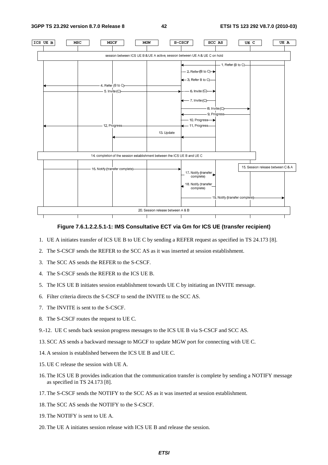**3GPP TS 23.292 version 8.7.0 Release 8 42 ETSI TS 123 292 V8.7.0 (2010-03)**



### **Figure 7.6.1.2.2.5.1-1: IMS Consultative ECT via Gm for ICS UE (transfer recipient)**

- 1. UE A initiates transfer of ICS UE B to UE C by sending a REFER request as specified in TS 24.173 [8].
- 2. The S-CSCF sends the REFER to the SCC AS as it was inserted at session establishment.
- 3. The SCC AS sends the REFER to the S-CSCF.
- 4. The S-CSCF sends the REFER to the ICS UE B.
- 5. The ICS UE B initiates session establishment towards UE C by initiating an INVITE message.
- 6. Filter criteria directs the S-CSCF to send the INVITE to the SCC AS.
- 7. The INVITE is sent to the S-CSCF.
- 8. The S-CSCF routes the request to UE C.
- 9.-12. UE C sends back session progress messages to the ICS UE B via S-CSCF and SCC AS.
- 13. SCC AS sends a backward message to MGCF to update MGW port for connecting with UE C.
- 14. A session is established between the ICS UE B and UE C.
- 15. UE C release the session with UE A.
- 16. The ICS UE B provides indication that the communication transfer is complete by sending a NOTIFY message as specified in TS 24.173 [8].
- 17. The S-CSCF sends the NOTIFY to the SCC AS as it was inserted at session establishment.
- 18. The SCC AS sends the NOTIFY to the S-CSCF.
- 19. The NOTIFY is sent to UE A.
- 20. The UE A initiates session release with ICS UE B and release the session.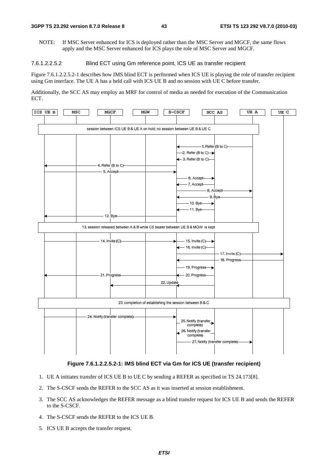NOTE: If MSC Server enhanced for ICS is deployed rather than the MSC Server and MGCF, the same flows apply and the MSC Server enhanced for ICS plays the role of MSC Server and MGCF.

#### 7.6.1.2.2.5.2 Blind ECT using Gm reference point, ICS UE as transfer recipient

Figure 7.6.1.2.2.5.2-1 describes how IMS blind ECT is performed when ICS UE is playing the role of transfer recipient using Gm interface. The UE A has a held call with ICS UE B and no session with UE C before transfer.

Additionally, the SCC AS may employ an MRF for control of media as needed for execution of the Communication ECT.



#### **Figure 7.6.1.2.2.5.2-1: IMS blind ECT via Gm for ICS UE (transfer recipient)**

- 1. UE A initiates transfer of ICS UE B to UE C by sending a REFER as specified in TS 24.173[8].
- 2. The S-CSCF sends the REFER to the SCC AS as it was inserted at session establishment.
- 3. The SCC AS acknowledges the REFER message as a blind transfer request for ICS UE B and sends the REFER to the S-CSCF.
- 4. The S-CSCF sends the REFER to the ICS UE B.
- 5. ICS UE B accepts the transfer request.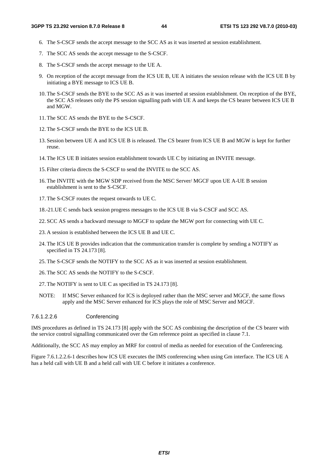- 6. The S-CSCF sends the accept message to the SCC AS as it was inserted at session establishment.
- 7. The SCC AS sends the accept message to the S-CSCF.
- 8. The S-CSCF sends the accept message to the UE A.
- 9. On reception of the accept message from the ICS UE B, UE A initiates the session release with the ICS UE B by initiating a BYE message to ICS UE B.
- 10. The S-CSCF sends the BYE to the SCC AS as it was inserted at session establishment. On reception of the BYE, the SCC AS releases only the PS session signalling path with UE A and keeps the CS bearer between ICS UE B and MGW.
- 11. The SCC AS sends the BYE to the S-CSCF.
- 12. The S-CSCF sends the BYE to the ICS UE B.
- 13. Session between UE A and ICS UE B is released. The CS bearer from ICS UE B and MGW is kept for further reuse.
- 14. The ICS UE B initiates session establishment towards UE C by initiating an INVITE message.
- 15. Filter criteria directs the S-CSCF to send the INVITE to the SCC AS.
- 16. The INVITE with the MGW SDP received from the MSC Server/ MGCF upon UE A-UE B session establishment is sent to the S-CSCF.
- 17. The S-CSCF routes the request onwards to UE C.
- 18.-21. UE C sends back session progress messages to the ICS UE B via S-CSCF and SCC AS.
- 22. SCC AS sends a backward message to MGCF to update the MGW port for connecting with UE C.
- 23. A session is established between the ICS UE B and UE C.
- 24. The ICS UE B provides indication that the communication transfer is complete by sending a NOTIFY as specified in TS 24.173 [8].
- 25. The S-CSCF sends the NOTIFY to the SCC AS as it was inserted at session establishment.
- 26. The SCC AS sends the NOTIFY to the S-CSCF.
- 27. The NOTIFY is sent to UE C as specified in TS 24.173 [8].
- NOTE: If MSC Server enhanced for ICS is deployed rather than the MSC server and MGCF, the same flows apply and the MSC Server enhanced for ICS plays the role of MSC Server and MGCF.

#### 7.6.1.2.2.6 Conferencing

IMS procedures as defined in TS 24.173 [8] apply with the SCC AS combining the description of the CS bearer with the service control signalling communicated over the Gm reference point as specified in clause 7.1.

Additionally, the SCC AS may employ an MRF for control of media as needed for execution of the Conferencing.

Figure 7.6.1.2.2.6-1 describes how ICS UE executes the IMS conferencing when using Gm interface. The ICS UE A has a held call with UE B and a held call with UE C before it initiates a conference.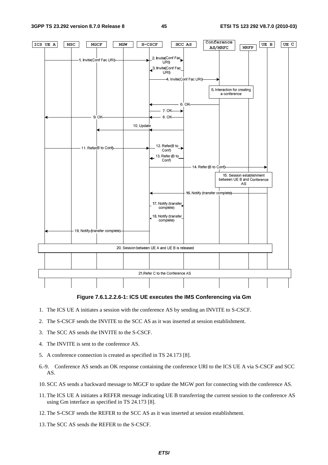Conference  $\boxed{UEB}$ ICS UE A UE C  $_{\rm{MSC}}$  $_{\tt MGCF}$ MGW  $S-CSCF$  $SCC$   $\,\Delta S$  $MRFP$ AS/MRFC 2. Invite(Conf Fac Invite(Conf Fac URI) URI) 3. Invite(Conf Fac URI 4. Invite(Conf Fac URI)-5. Interaction for creating a conference 6.OK  $7 \nN$ 9 OK 8 OK 10. Update 12. Refer(B to 11. Refer(B to Conf) Conf) 13. Refer (B to Conf) 14. Refer (B to Conf) 15. Session establishment between UE B and Conference AS 16 Notify (transfer complete) 17. Notify (transfer complete) 18. Notify (transfer complete) 19. Notify (transfer complete) 20. Session between UE A and UE B is released 21. Refer C to the Conference AS

#### **Figure 7.6.1.2.2.6-1: ICS UE executes the IMS Conferencing via Gm**

- 1. The ICS UE A initiates a session with the conference AS by sending an INVITE to S-CSCF.
- 2. The S-CSCF sends the INVITE to the SCC AS as it was inserted at session establishment.
- 3. The SCC AS sends the INVITE to the S-CSCF.
- 4. The INVITE is sent to the conference AS.
- 5. A conference connection is created as specified in TS 24.173 [8].
- 6.-9. Conference AS sends an OK response containing the conference URI to the ICS UE A via S-CSCF and SCC AS.
- 10. SCC AS sends a backward message to MGCF to update the MGW port for connecting with the conference AS.
- 11. The ICS UE A initiates a REFER message indicating UE B transferring the current session to the conference AS using Gm interface as specified in TS 24.173 [8].
- 12. The S-CSCF sends the REFER to the SCC AS as it was inserted at session establishment.
- 13. The SCC AS sends the REFER to the S-CSCF.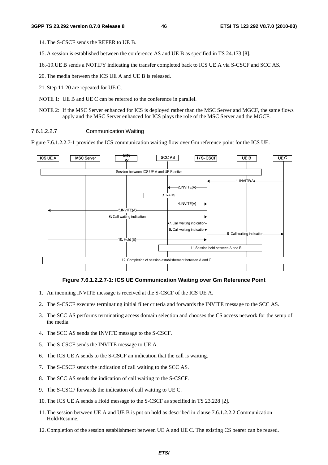14. The S-CSCF sends the REFER to UE B.

- 15. A session is established between the conference AS and UE B as specified in TS 24.173 [8].
- 16.-19. UE B sends a NOTIFY indicating the transfer completed back to ICS UE A via S-CSCF and SCC AS.
- 20. The media between the ICS UE A and UE B is released.
- 21. Step 11-20 are repeated for UE C.
- NOTE 1: UE B and UE C can be referred to the conference in parallel.
- NOTE 2: If the MSC Server enhanced for ICS is deployed rather than the MSC Server and MGCF, the same flows apply and the MSC Server enhanced for ICS plays the role of the MSC Server and the MGCF.

#### 7.6.1.2.2.7 Communication Waiting

Figure 7.6.1.2.2.7-1 provides the ICS communication waiting flow over Gm reference point for the ICS UE.



#### **Figure 7.6.1.2.2.7-1: ICS UE Communication Waiting over Gm Reference Point**

- 1. An incoming INVITE message is received at the S-CSCF of the ICS UE A.
- 2. The S-CSCF executes terminating initial filter criteria and forwards the INVITE message to the SCC AS.
- 3. The SCC AS performs terminating access domain selection and chooses the CS access network for the setup of the media.
- 4. The SCC AS sends the INVITE message to the S-CSCF.
- 5. The S-CSCF sends the INVITE message to UE A.
- 6. The ICS UE A sends to the S-CSCF an indication that the call is waiting.
- 7. The S-CSCF sends the indication of call waiting to the SCC AS.
- 8. The SCC AS sends the indication of call waiting to the S-CSCF.
- 9. The S-CSCF forwards the indication of call waiting to UE C.
- 10. The ICS UE A sends a Hold message to the S-CSCF as specified in TS 23.228 [2].
- 11. The session between UE A and UE B is put on hold as described in clause 7.6.1.2.2.2 Communication Hold/Resume.
- 12. Completion of the session establishment between UE A and UE C. The existing CS bearer can be reused.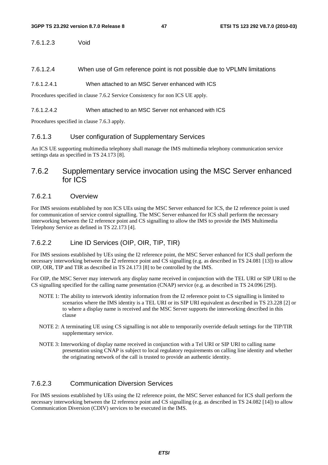### 7.6.1.2.3 Void

7.6.1.2.4 When use of Gm reference point is not possible due to VPLMN limitations

#### 7.6.1.2.4.1 When attached to an MSC Server enhanced with ICS

Procedures specified in clause 7.6.2 Service Consistency for non ICS UE apply.

#### 7.6.1.2.4.2 When attached to an MSC Server not enhanced with ICS

Procedures specified in clause 7.6.3 apply.

# 7.6.1.3 User configuration of Supplementary Services

An ICS UE supporting multimedia telephony shall manage the IMS multimedia telephony communication service settings data as specified in TS 24.173 [8].

# 7.6.2 Supplementary service invocation using the MSC Server enhanced for ICS

# 7.6.2.1 Overview

For IMS sessions established by non ICS UEs using the MSC Server enhanced for ICS, the I2 reference point is used for communication of service control signalling. The MSC Server enhanced for ICS shall perform the necessary interworking between the I2 reference point and CS signalling to allow the IMS to provide the IMS Multimedia Telephony Service as defined in TS 22.173 [4].

# 7.6.2.2 Line ID Services (OIP, OIR, TIP, TIR)

For IMS sessions established by UEs using the I2 reference point, the MSC Server enhanced for ICS shall perform the necessary interworking between the I2 reference point and CS signalling (e.g. as described in TS 24.081 [13]) to allow OIP, OIR, TIP and TIR as described in TS 24.173 [8] to be controlled by the IMS.

For OIP, the MSC Server may interwork any display name received in conjunction with the TEL URI or SIP URI to the CS signalling specified for the calling name presentation (CNAP) service (e.g. as described in TS 24.096 [29]).

- NOTE 1: The ability to interwork identity information from the I2 reference point to CS signalling is limited to scenarios where the IMS identity is a TEL URI or its SIP URI equivalent as described in TS 23.228 [2] or to where a display name is received and the MSC Server supports the interworking described in this clause
- NOTE 2: A terminating UE using CS signalling is not able to temporarily override default settings for the TIP/TIR supplementary service.
- NOTE 3: Interworking of display name received in conjunction with a Tel URI or SIP URI to calling name presentation using CNAP is subject to local regulatory requirements on calling line identity and whether the originating network of the call is trusted to provide an authentic identity.

# 7.6.2.3 Communication Diversion Services

For IMS sessions established by UEs using the I2 reference point, the MSC Server enhanced for ICS shall perform the necessary interworking between the I2 reference point and CS signalling (e.g. as described in TS 24.082 [14]) to allow Communication Diversion (CDIV) services to be executed in the IMS.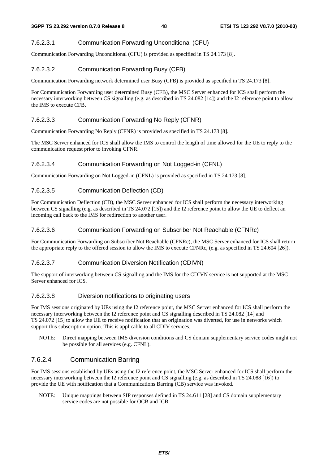# 7.6.2.3.1 Communication Forwarding Unconditional (CFU)

Communication Forwarding Unconditional (CFU) is provided as specified in TS 24.173 [8].

# 7.6.2.3.2 Communication Forwarding Busy (CFB)

Communication Forwarding network determined user Busy (CFB) is provided as specified in TS 24.173 [8].

For Communication Forwarding user determined Busy (CFB), the MSC Server enhanced for ICS shall perform the necessary interworking between CS signalling (e.g. as described in TS 24.082 [14]) and the I2 reference point to allow the IMS to execute CFB.

# 7.6.2.3.3 Communication Forwarding No Reply (CFNR)

Communication Forwarding No Reply (CFNR) is provided as specified in TS 24.173 [8].

The MSC Server enhanced for ICS shall allow the IMS to control the length of time allowed for the UE to reply to the communication request prior to invoking CFNR.

## 7.6.2.3.4 Communication Forwarding on Not Logged-in (CFNL)

Communication Forwarding on Not Logged-in (CFNL) is provided as specified in TS 24.173 [8].

# 7.6.2.3.5 Communication Deflection (CD)

For Communication Deflection (CD), the MSC Server enhanced for ICS shall perform the necessary interworking between CS signalling (e.g. as described in TS 24.072 [15]) and the I2 reference point to allow the UE to deflect an incoming call back to the IMS for redirection to another user.

## 7.6.2.3.6 Communication Forwarding on Subscriber Not Reachable (CFNRc)

For Communication Forwarding on Subscriber Not Reachable (CFNRc), the MSC Server enhanced for ICS shall return the appropriate reply to the offered session to allow the IMS to execute CFNRc, (e.g. as specified in TS 24.604 [26]).

## 7.6.2.3.7 Communication Diversion Notification (CDIVN)

The support of interworking between CS signalling and the IMS for the CDIVN service is not supported at the MSC Server enhanced for ICS.

## 7.6.2.3.8 Diversion notifications to originating users

For IMS sessions originated by UEs using the I2 reference point, the MSC Server enhanced for ICS shall perform the necessary interworking between the I2 reference point and CS signalling described in TS 24.082 [14] and TS 24.072 [15] to allow the UE to receive notification that an origination was diverted, for use in networks which support this subscription option. This is applicable to all CDIV services.

NOTE: Direct mapping between IMS diversion conditions and CS domain supplementary service codes might not be possible for all services (e.g. CFNL).

# 7.6.2.4 Communication Barring

For IMS sessions established by UEs using the I2 reference point, the MSC Server enhanced for ICS shall perform the necessary interworking between the I2 reference point and CS signalling (e.g. as described in TS 24.088 [16]) to provide the UE with notification that a Communications Barring (CB) service was invoked.

NOTE: Unique mappings between SIP responses defined in TS 24.611 [28] and CS domain supplementary service codes are not possible for OCB and ICB.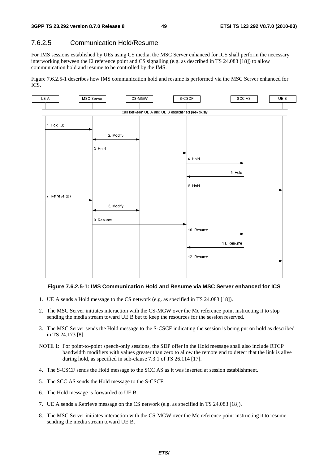# 7.6.2.5 Communication Hold/Resume

For IMS sessions established by UEs using CS media, the MSC Server enhanced for ICS shall perform the necessary interworking between the I2 reference point and CS signalling (e.g. as described in TS 24.083 [18]) to allow communication hold and resume to be controlled by the IMS.

Figure 7.6.2.5-1 describes how IMS communication hold and resume is performed via the MSC Server enhanced for ICS.



#### **Figure 7.6.2.5-1: IMS Communication Hold and Resume via MSC Server enhanced for ICS**

- 1. UE A sends a Hold message to the CS network (e.g. as specified in TS 24.083 [18]).
- 2. The MSC Server initiates interaction with the CS-MGW over the Mc reference point instructing it to stop sending the media stream toward UE B but to keep the resources for the session reserved.
- 3. The MSC Server sends the Hold message to the S-CSCF indicating the session is being put on hold as described in TS 24.173 [8].
- NOTE 1: For point-to-point speech-only sessions, the SDP offer in the Hold message shall also include RTCP bandwidth modifiers with values greater than zero to allow the remote end to detect that the link is alive during hold, as specified in sub-clause 7.3.1 of TS 26.114 [17].
- 4. The S-CSCF sends the Hold message to the SCC AS as it was inserted at session establishment.
- 5. The SCC AS sends the Hold message to the S-CSCF.
- 6. The Hold message is forwarded to UE B.
- 7. UE A sends a Retrieve message on the CS network (e.g. as specified in TS 24.083 [18]).
- 8. The MSC Server initiates interaction with the CS-MGW over the Mc reference point instructing it to resume sending the media stream toward UE B.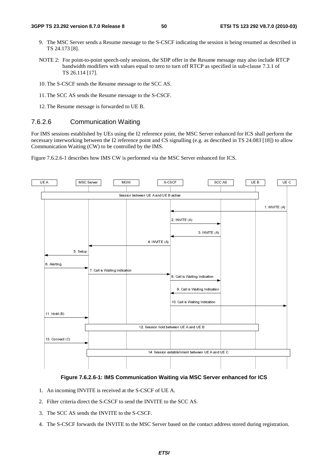- 9. The MSC Server sends a Resume message to the S-CSCF indicating the session is being resumed as described in TS 24.173 [8].
- NOTE 2: For point-to-point speech-only sessions, the SDP offer in the Resume message may also include RTCP bandwidth modifiers with values equal to zero to turn off RTCP as specified in sub-clause 7.3.1 of TS 26.114 [17].
- 10. The S-CSCF sends the Resume message to the SCC AS.
- 11. The SCC AS sends the Resume message to the S-CSCF.
- 12. The Resume message is forwarded to UE B.

# 7.6.2.6 Communication Waiting

For IMS sessions established by UEs using the I2 reference point, the MSC Server enhanced for ICS shall perform the necessary interworking between the I2 reference point and CS signalling (e.g. as described in TS 24.083 [18]) to allow Communication Waiting (CW) to be controlled by the IMS.

Figure 7.6.2.6-1 describes how IMS CW is performed via the MSC Server enhanced for ICS.



# **Figure 7.6.2.6-1: IMS Communication Waiting via MSC Server enhanced for ICS**

- 1. An incoming INVITE is received at the S-CSCF of UE A.
- 2. Filter criteria direct the S-CSCF to send the INVITE to the SCC AS.
- 3. The SCC AS sends the INVITE to the S-CSCF.
- 4. The S-CSCF forwards the INVITE to the MSC Server based on the contact address stored during registration.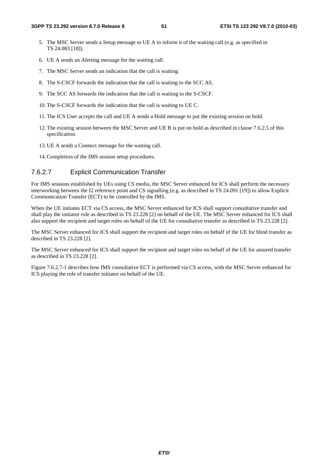- 5. The MSC Server sends a Setup message to UE A to inform it of the waiting call (e.g. as specified in TS 24.083 [18]).
- 6. UE A sends an Alerting message for the waiting call.
- 7. The MSC Server sends an indication that the call is waiting.
- 8. The S-CSCF forwards the indication that the call is waiting to the SCC AS.
- 9. The SCC AS forwards the indication that the call is waiting to the S-CSCF.
- 10. The S-CSCF forwards the indication that the call is waiting to UE C.
- 11. The ICS User accepts the call and UE A sends a Hold message to put the existing session on hold.
- 12. The existing session between the MSC Server and UE B is put on hold as described in clause 7.6.2.5 of this specification.
- 13. UE A sends a Connect message for the waiting call.
- 14. Completion of the IMS session setup procedures.

## 7.6.2.7 Explicit Communication Transfer

For IMS sessions established by UEs using CS media, the MSC Server enhanced for ICS shall perform the necessary interworking between the I2 reference point and CS signalling (e.g. as described in TS 24.091 [19]) to allow Explicit Communication Transfer (ECT) to be controlled by the IMS.

When the UE initiates ECT via CS access, the MSC Server enhanced for ICS shall support consultative transfer and shall play the initiator role as described in TS 23.228 [2] on behalf of the UE. The MSC Server enhanced for ICS shall also support the recipient and target roles on behalf of the UE for consultative transfer as described in TS.23.228 [2].

The MSC Server enhanced for ICS shall support the recipient and target roles on behalf of the UE for blind transfer as described in TS 23.228 [2].

The MSC Server enhanced for ICS shall support the recipient and target roles on behalf of the UE for assured transfer as described in TS 23.228 [2].

Figure 7.6.2.7-1 describes how IMS consultative ECT is performed via CS access, with the MSC Server enhanced for ICS playing the role of transfer initiator on behalf of the UE.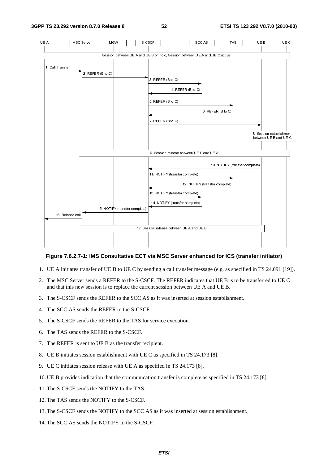**3GPP TS 23.292 version 8.7.0 Release 8 52 ETSI TS 123 292 V8.7.0 (2010-03)**



#### **Figure 7.6.2.7-1: IMS Consultative ECT via MSC Server enhanced for ICS (transfer initiator)**

- 1. UE A initiates transfer of UE B to UE C by sending a call transfer message (e.g. as specified in TS 24.091 [19]).
- 2. The MSC Server sends a REFER to the S-CSCF. The REFER indicates that UE B is to be transferred to UE C and that this new session is to replace the current session between UE A and UE B.
- 3. The S-CSCF sends the REFER to the SCC AS as it was inserted at session establishment.
- 4. The SCC AS sends the REFER to the S-CSCF.
- 5. The S-CSCF sends the REFER to the TAS for service execution.
- 6. The TAS sends the REFER to the S-CSCF.
- 7. The REFER is sent to UE B as the transfer recipient.
- 8. UE B initiates session establishment with UE C as specified in TS 24.173 [8].
- 9. UE C initiates session release with UE A as specified in TS 24.173 [8].
- 10. UE B provides indication that the communication transfer is complete as specified in TS 24.173 [8].
- 11. The S-CSCF sends the NOTIFY to the TAS.
- 12. The TAS sends the NOTIFY to the S-CSCF.
- 13. The S-CSCF sends the NOTIFY to the SCC AS as it was inserted at session establishment.
- 14. The SCC AS sends the NOTIFY to the S-CSCF.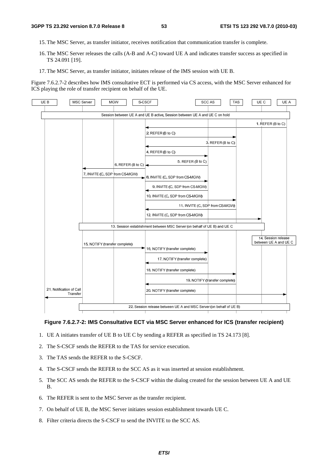- 15. The MSC Server, as transfer initiator, receives notification that communication transfer is complete.
- 16. The MSC Server releases the calls (A-B and A-C) toward UE A and indicates transfer success as specified in TS 24.091 [19].
- 17. The MSC Server, as transfer initiator, initiates release of the IMS session with UE B.

Figure 7.6.2.7-2 describes how IMS consultative ECT is performed via CS access, with the MSC Server enhanced for ICS playing the role of transfer recipient on behalf of the UE.



### **Figure 7.6.2.7-2: IMS Consultative ECT via MSC Server enhanced for ICS (transfer recipient)**

- 1. UE A initiates transfer of UE B to UE C by sending a REFER as specified in TS 24.173 [8].
- 2. The S-CSCF sends the REFER to the TAS for service execution.
- 3. The TAS sends the REFER to the S-CSCF.
- 4. The S-CSCF sends the REFER to the SCC AS as it was inserted at session establishment.
- 5. The SCC AS sends the REFER to the S-CSCF within the dialog created for the session between UE A and UE B.
- 6. The REFER is sent to the MSC Server as the transfer recipient.
- 7. On behalf of UE B, the MSC Server initiates session establishment towards UE C.
- 8. Filter criteria directs the S-CSCF to send the INVITE to the SCC AS.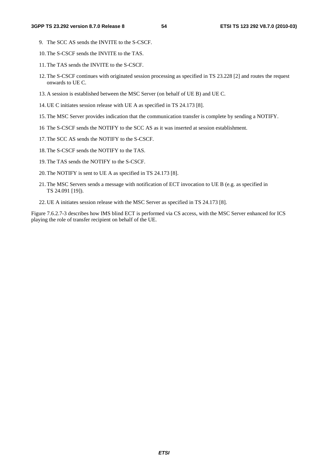- 9. The SCC AS sends the INVITE to the S-CSCF.
- 10. The S-CSCF sends the INVITE to the TAS.
- 11. The TAS sends the INVITE to the S-CSCF.
- 12. The S-CSCF continues with originated session processing as specified in TS 23.228 [2] and routes the request onwards to UE C.
- 13. A session is established between the MSC Server (on behalf of UE B) and UE C.
- 14. UE C initiates session release with UE A as specified in TS 24.173 [8].
- 15. The MSC Server provides indication that the communication transfer is complete by sending a NOTIFY.
- 16 The S-CSCF sends the NOTIFY to the SCC AS as it was inserted at session establishment.
- 17. The SCC AS sends the NOTIFY to the S-CSCF.
- 18. The S-CSCF sends the NOTIFY to the TAS.
- 19. The TAS sends the NOTIFY to the S-CSCF.
- 20. The NOTIFY is sent to UE A as specified in TS 24.173 [8].
- 21. The MSC Servers sends a message with notification of ECT invocation to UE B (e.g. as specified in TS 24.091 [19]).
- 22. UE A initiates session release with the MSC Server as specified in TS 24.173 [8].

Figure 7.6.2.7-3 describes how IMS blind ECT is performed via CS access, with the MSC Server enhanced for ICS playing the role of transfer recipient on behalf of the UE.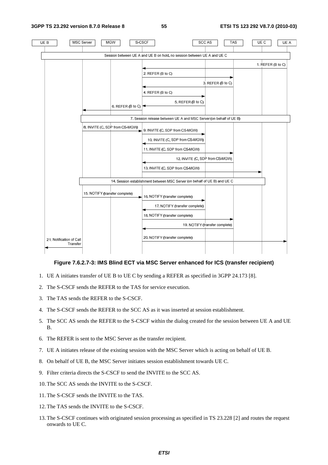**3GPP TS 23.292 version 8.7.0 Release 8 55 ETSI TS 123 292 V8.7.0 (2010-03)**



### **Figure 7.6.2.7-3: IMS Blind ECT via MSC Server enhanced for ICS (transfer recipient)**

- 1. UE A initiates transfer of UE B to UE C by sending a REFER as specified in 3GPP 24.173 [8].
- 2. The S-CSCF sends the REFER to the TAS for service execution.
- 3. The TAS sends the REFER to the S-CSCF.
- 4. The S-CSCF sends the REFER to the SCC AS as it was inserted at session establishment.
- 5. The SCC AS sends the REFER to the S-CSCF within the dialog created for the session between UE A and UE B.
- 6. The REFER is sent to the MSC Server as the transfer recipient.
- 7. UE A initiates release of the existing session with the MSC Server which is acting on behalf of UE B.
- 8. On behalf of UE B, the MSC Server initiates session establishment towards UE C.
- 9. Filter criteria directs the S-CSCF to send the INVITE to the SCC AS.
- 10. The SCC AS sends the INVITE to the S-CSCF.
- 11. The S-CSCF sends the INVITE to the TAS.
- 12. The TAS sends the INVITE to the S-CSCF.
- 13. The S-CSCF continues with originated session processing as specified in TS 23.228 [2] and routes the request onwards to UE C.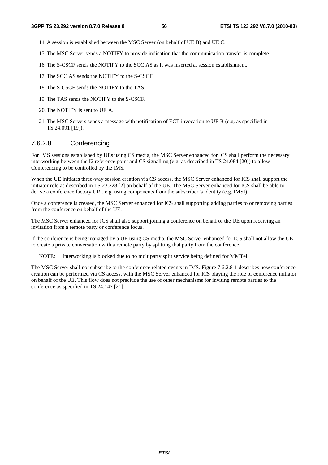- 14. A session is established between the MSC Server (on behalf of UE B) and UE C.
- 15. The MSC Server sends a NOTIFY to provide indication that the communication transfer is complete.
- 16. The S-CSCF sends the NOTIFY to the SCC AS as it was inserted at session establishment.
- 17. The SCC AS sends the NOTIFY to the S-CSCF.
- 18. The S-CSCF sends the NOTIFY to the TAS.
- 19. The TAS sends the NOTIFY to the S-CSCF.
- 20. The NOTIFY is sent to UE A.
- 21. The MSC Servers sends a message with notification of ECT invocation to UE B (e.g. as specified in TS 24.091 [19]).

# 7.6.2.8 Conferencing

For IMS sessions established by UEs using CS media, the MSC Server enhanced for ICS shall perform the necessary interworking between the I2 reference point and CS signalling (e.g. as described in TS 24.084 [20]) to allow Conferencing to be controlled by the IMS.

When the UE initiates three-way session creation via CS access, the MSC Server enhanced for ICS shall support the initiator role as described in TS 23.228 [2] on behalf of the UE. The MSC Server enhanced for ICS shall be able to derive a conference factory URI, e.g. using components from the subscriber"s identity (e.g. IMSI).

Once a conference is created, the MSC Server enhanced for ICS shall supporting adding parties to or removing parties from the conference on behalf of the UE.

The MSC Server enhanced for ICS shall also support joining a conference on behalf of the UE upon receiving an invitation from a remote party or conference focus.

If the conference is being managed by a UE using CS media, the MSC Server enhanced for ICS shall not allow the UE to create a private conversation with a remote party by splitting that party from the conference.

NOTE: Interworking is blocked due to no multiparty split service being defined for MMTel.

The MSC Server shall not subscribe to the conference related events in IMS. Figure 7.6.2.8-1 describes how conference creation can be performed via CS access, with the MSC Server enhanced for ICS playing the role of conference initiator on behalf of the UE. This flow does not preclude the use of other mechanisms for inviting remote parties to the conference as specified in TS 24.147 [21].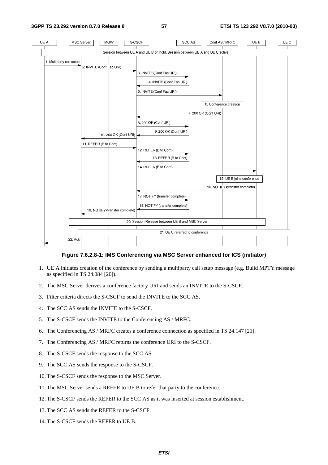**3GPP TS 23.292 version 8.7.0 Release 8 57 ETSI TS 123 292 V8.7.0 (2010-03)**



#### **Figure 7.6.2.8-1: IMS Conferencing via MSC Server enhanced for ICS (initiator)**

- 1. UE A initiates creation of the conference by sending a multiparty call setup message (e.g. Build MPTY message as specified in TS 24.084 [20]).
- 2. The MSC Server derives a conference factory URI and sends an INVITE to the S-CSCF.
- 3. Filter criteria directs the S-CSCF to send the INVITE to the SCC AS.
- 4. The SCC AS sends the INVITE to the S-CSCF.
- 5. The S-CSCF sends the INVITE to the Conferencing AS / MRFC.
- 6. The Conferencing AS / MRFC creates a conference connection as specified in TS 24.147 [21].
- 7. The Conferencing AS / MRFC returns the conference URI to the S-CSCF.
- 8. The S-CSCF sends the response to the SCC AS.
- 9. The SCC AS sends the response to the S-CSCF.
- 10. The S-CSCF sends the response to the MSC Server.
- 11. The MSC Server sends a REFER to UE B to refer that party to the conference.
- 12. The S-CSCF sends the REFER to the SCC AS as it was inserted at session establishment.
- 13. The SCC AS sends the REFER to the S-CSCF.
- 14. The S-CSCF sends the REFER to UE B.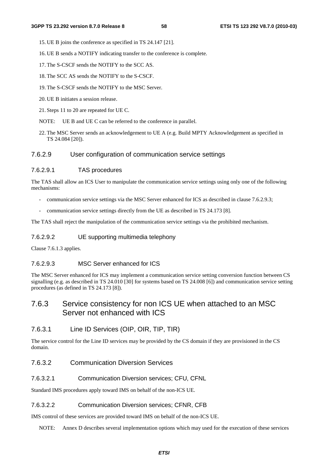- 15. UE B joins the conference as specified in TS 24.147 [21].
- 16. UE B sends a NOTIFY indicating transfer to the conference is complete.
- 17. The S-CSCF sends the NOTIFY to the SCC AS.
- 18. The SCC AS sends the NOTIFY to the S-CSCF.
- 19. The S-CSCF sends the NOTIFY to the MSC Server.
- 20. UE B initiates a session release.
- 21. Steps 11 to 20 are repeated for UE C.
- NOTE: UE B and UE C can be referred to the conference in parallel.
- 22. The MSC Server sends an acknowledgement to UE A (e.g. Build MPTY Acknowledgement as specified in TS 24.084 [20]).
- 7.6.2.9 User configuration of communication service settings

#### 7.6.2.9.1 TAS procedures

The TAS shall allow an ICS User to manipulate the communication service settings using only one of the following mechanisms:

- communication service settings via the MSC Server enhanced for ICS as described in clause 7.6.2.9.3;
- communication service settings directly from the UE as described in TS 24.173 [8].

The TAS shall reject the manipulation of the communication service settings via the prohibited mechanism.

#### 7.6.2.9.2 UE supporting multimedia telephony

Clause 7.6.1.3 applies.

## 7.6.2.9.3 MSC Server enhanced for ICS

The MSC Server enhanced for ICS may implement a communication service setting conversion function between CS signalling (e.g. as described in TS 24.010 [30] for systems based on TS 24.008 [6]) and communication service setting procedures (as defined in TS 24.173 [8]).

# 7.6.3 Service consistency for non ICS UE when attached to an MSC Server not enhanced with ICS

# 7.6.3.1 Line ID Services (OIP, OIR, TIP, TIR)

The service control for the Line ID services may be provided by the CS domain if they are provisioned in the CS domain.

# 7.6.3.2 Communication Diversion Services

#### 7.6.3.2.1 Communication Diversion services; CFU, CFNL

Standard IMS procedures apply toward IMS on behalf of the non-ICS UE.

#### 7.6.3.2.2 Communication Diversion services; CFNR, CFB

IMS control of these services are provided toward IMS on behalf of the non-ICS UE.

NOTE: Annex D describes several implementation options which may used for the execution of these services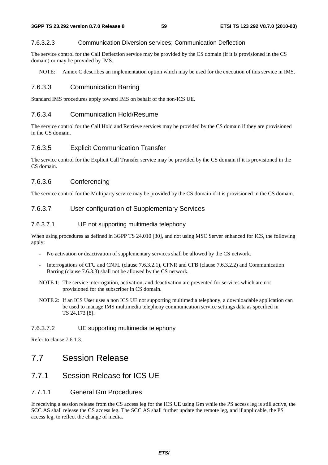## 7.6.3.2.3 Communication Diversion services; Communication Deflection

The service control for the Call Deflection service may be provided by the CS domain (if it is provisioned in the CS domain) or may be provided by IMS.

NOTE: Annex C describes an implementation option which may be used for the execution of this service in IMS.

# 7.6.3.3 Communication Barring

Standard IMS procedures apply toward IMS on behalf of the non-ICS UE.

# 7.6.3.4 Communication Hold/Resume

The service control for the Call Hold and Retrieve services may be provided by the CS domain if they are provisioned in the CS domain.

# 7.6.3.5 Explicit Communication Transfer

The service control for the Explicit Call Transfer service may be provided by the CS domain if it is provisioned in the CS domain.

# 7.6.3.6 Conferencing

The service control for the Multiparty service may be provided by the CS domain if it is provisioned in the CS domain.

# 7.6.3.7 User configuration of Supplementary Services

## 7.6.3.7.1 UE not supporting multimedia telephony

When using procedures as defined in 3GPP TS 24.010 [30], and not using MSC Server enhanced for ICS, the following apply:

- No activation or deactivation of supplementary services shall be allowed by the CS network.
- Interrogations of CFU and CNFL (clause 7.6.3.2.1), CFNR and CFB (clause 7.6.3.2.2) and Communication Barring (clause 7.6.3.3) shall not be allowed by the CS network.
- NOTE 1: The service interrogation, activation, and deactivation are prevented for services which are not provisioned for the subscriber in CS domain.
- NOTE 2: If an ICS User uses a non ICS UE not supporting multimedia telephony, a downloadable application can be used to manage IMS multimedia telephony communication service settings data as specified in TS 24.173 [8].

## 7.6.3.7.2 UE supporting multimedia telephony

Refer to clause 7.6.1.3.

# 7.7 Session Release

# 7.7.1 Session Release for ICS UE

# 7.7.1.1 General Gm Procedures

If receiving a session release from the CS access leg for the ICS UE using Gm while the PS access leg is still active, the SCC AS shall release the CS access leg. The SCC AS shall further update the remote leg, and if applicable, the PS access leg, to reflect the change of media.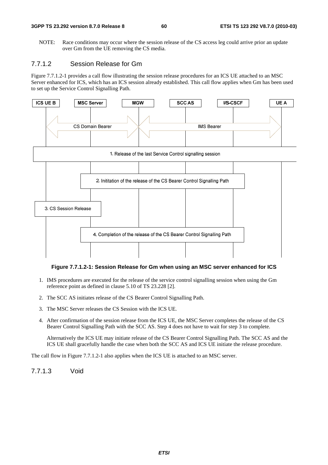NOTE: Race conditions may occur where the session release of the CS access leg could arrive prior an update over Gm from the UE removing the CS media.

# 7.7.1.2 Session Release for Gm

Figure 7.7.1.2-1 provides a call flow illustrating the session release procedures for an ICS UE attached to an MSC Server enhanced for ICS, which has an ICS session already established. This call flow applies when Gm has been used to set up the Service Control Signalling Path.



#### **Figure 7.7.1.2-1: Session Release for Gm when using an MSC server enhanced for ICS**

- 1. IMS procedures are executed for the release of the service control signalling session when using the Gm reference point as defined in clause 5.10 of TS 23.228 [2].
- 2. The SCC AS initiates release of the CS Bearer Control Signalling Path.
- 3. The MSC Server releases the CS Session with the ICS UE.
- 4. After confirmation of the session release from the ICS UE, the MSC Server completes the release of the CS Bearer Control Signalling Path with the SCC AS. Step 4 does not have to wait for step 3 to complete.

 Alternatively the ICS UE may initiate release of the CS Bearer Control Signalling Path. The SCC AS and the ICS UE shall gracefully handle the case when both the SCC AS and ICS UE initiate the release procedure.

The call flow in Figure 7.7.1.2-1 also applies when the ICS UE is attached to an MSC server.

7.7.1.3 Void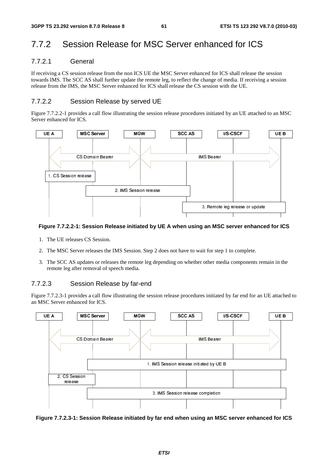# 7.7.2 Session Release for MSC Server enhanced for ICS

# 7.7.2.1 General

If receiving a CS session release from the non ICS UE the MSC Server enhanced for ICS shall release the session towards IMS. The SCC AS shall further update the remote leg, to reflect the change of media. If receiving a session release from the IMS, the MSC Server enhanced for ICS shall release the CS session with the UE.

# 7.7.2.2 Session Release by served UE

Figure 7.7.2.2-1 provides a call flow illustrating the session release procedures initiated by an UE attached to an MSC Server enhanced for ICS.



### **Figure 7.7.2.2-1: Session Release initiated by UE A when using an MSC server enhanced for ICS**

- 1. The UE releases CS Session.
- 2. The MSC Server releases the IMS Session. Step 2 does not have to wait for step 1 to complete.
- 3. The SCC AS updates or releases the remote leg depending on whether other media components remain in the remote leg after removal of speech media.

# 7.7.2.3 Session Release by far-end

Figure 7.7.2.3-1 provides a call flow illustrating the session release procedures initiated by far end for an UE attached to an MSC Server enhanced for ICS.



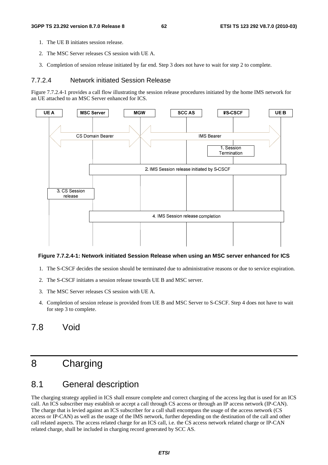- 1. The UE B initiates session release.
- 2. The MSC Server releases CS session with UE A.
- 3. Completion of session release initiated by far end. Step 3 does not have to wait for step 2 to complete.

## 7.7.2.4 Network initiated Session Release

Figure 7.7.2.4-1 provides a call flow illustrating the session release procedures initiated by the home IMS network for an UE attached to an MSC Server enhanced for ICS.



#### **Figure 7.7.2.4-1: Network initiated Session Release when using an MSC server enhanced for ICS**

- 1. The S-CSCF decides the session should be terminated due to administrative reasons or due to service expiration.
- 2. The S-CSCF initiates a session release towards UE B and MSC server.
- 3. The MSC Server releases CS session with UE A.
- 4. Completion of session release is provided from UE B and MSC Server to S-CSCF. Step 4 does not have to wait for step 3 to complete.

# 7.8 Void

# 8 Charging

# 8.1 General description

The charging strategy applied in ICS shall ensure complete and correct charging of the access leg that is used for an ICS call. An ICS subscriber may establish or accept a call through CS access or through an IP access network (IP-CAN). The charge that is levied against an ICS subscriber for a call shall encompass the usage of the access network (CS access or IP-CAN) as well as the usage of the IMS network, further depending on the destination of the call and other call related aspects. The access related charge for an ICS call, i.e. the CS access network related charge or IP-CAN related charge, shall be included in charging record generated by SCC AS.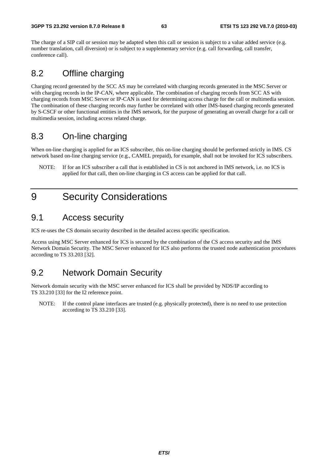The charge of a SIP call or session may be adapted when this call or session is subject to a value added service (e.g. number translation, call diversion) or is subject to a supplementary service (e.g. call forwarding, call transfer, conference call).

# 8.2 Offline charging

Charging record generated by the SCC AS may be correlated with charging records generated in the MSC Server or with charging records in the IP-CAN, where applicable. The combination of charging records from SCC AS with charging records from MSC Server or IP-CAN is used for determining access charge for the call or multimedia session. The combination of these charging records may further be correlated with other IMS-based charging records generated by S-CSCF or other functional entities in the IMS network, for the purpose of generating an overall charge for a call or multimedia session, including access related charge.

# 8.3 On-line charging

When on-line charging is applied for an ICS subscriber, this on-line charging should be performed strictly in IMS. CS network based on-line charging service (e.g., CAMEL prepaid), for example, shall not be invoked for ICS subscribers.

NOTE: If for an ICS subscriber a call that is established in CS is not anchored in IMS network, i.e. no ICS is applied for that call, then on-line charging in CS access can be applied for that call.

# 9 Security Considerations

# 9.1 Access security

ICS re-uses the CS domain security described in the detailed access specific specification.

Access using MSC Server enhanced for ICS is secured by the combination of the CS access security and the IMS Network Domain Security. The MSC Server enhanced for ICS also performs the trusted node authentication procedures according to TS 33.203 [32].

# 9.2 Network Domain Security

Network domain security with the MSC server enhanced for ICS shall be provided by NDS/IP according to TS 33.210 [33] for the I2 reference point.

NOTE: If the control plane interfaces are trusted (e.g. physically protected), there is no need to use protection according to TS 33.210 [33].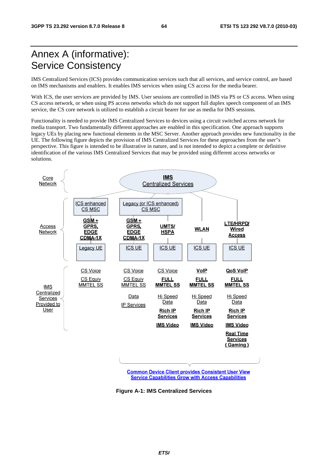# Annex A (informative): Service Consistency

IMS Centralized Services (ICS) provides communication services such that all services, and service control, are based on IMS mechanisms and enablers. It enables IMS services when using CS access for the media bearer.

With ICS, the user services are provided by IMS. User sessions are controlled in IMS via PS or CS access. When using CS access network, or when using PS access networks which do not support full duplex speech component of an IMS service, the CS core network is utilized to establish a circuit bearer for use as media for IMS sessions.

Functionality is needed to provide IMS Centralized Services to devices using a circuit switched access network for media transport. Two fundamentally different approaches are enabled in this specification. One approach supports legacy UEs by placing new functional elements in the MSC Server. Another approach provides new functionality in the UE. The following figure depicts the provision of IMS Centralized Services for these approaches from the user"s perspective. This figure is intended to be illustrative in nature, and is not intended to depict a complete or definitive identification of the various IMS Centralized Services that may be provided using different access networks or solutions.



**Common Device Client provides Consistent User View Service Capabilities Grow with Access Capabilities** 

**Figure A-1: IMS Centralized Services**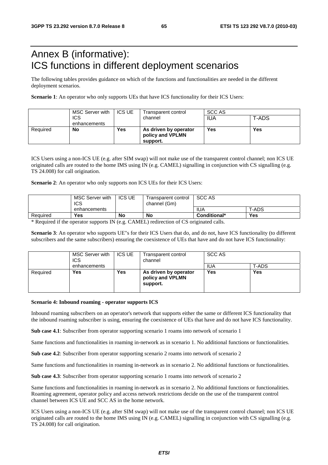# Annex B (informative): ICS functions in different deployment scenarios

The following tables provides guidance on which of the functions and functionalities are needed in the different deployment scenarios.

**Scenario 1**: An operator who only supports UEs that have ICS functionality for their ICS Users:

|          | MSC Server with | <b>ICS UE</b> | SCC AS<br>Transparent control |            |       |
|----------|-----------------|---------------|-------------------------------|------------|-------|
|          | <b>ICS</b>      |               | channel                       | <b>IUA</b> | T-ADS |
|          | enhancements    |               |                               |            |       |
| Required | No              | Yes           | As driven by operator         | Yes        | Yes   |
|          |                 |               | policy and VPLMN              |            |       |
|          |                 |               | support.                      |            |       |

ICS Users using a non-ICS UE (e.g. after SIM swap) will not make use of the transparent control channel; non ICS UE originated calls are routed to the home IMS using IN (e.g. CAMEL) signalling in conjunction with CS signalling (e.g. TS 24.008) for call origination.

#### **Scenario 2**: An operator who only supports non ICS UEs for their ICS Users:

|          | MSC Server with<br>ICS | <b>ICS UE</b> | Transparent control<br>channel (Gm) | SCC AS       |            |
|----------|------------------------|---------------|-------------------------------------|--------------|------------|
|          | enhancements           |               |                                     | <b>IUA</b>   | T-ADS      |
| Required | <b>Yes</b>             | No            | No                                  | Conditional* | <b>Yes</b> |

\* Required if the operator supports IN (e.g. CAMEL) redirection of CS originated calls.

**Scenario 3**: An operator who supports UE"s for their ICS Users that do, and do not, have ICS functionality (to different subscribers and the same subscribers) ensuring the coexistence of UEs that have and do not have ICS functionality:

|          | MSC Server with<br><b>ICS</b> | <b>ICS UE</b> | Transparent control<br>channel                        | SCC AS     |       |
|----------|-------------------------------|---------------|-------------------------------------------------------|------------|-------|
|          | enhancements                  |               |                                                       | <b>IUA</b> | T-ADS |
| Required | <b>Yes</b>                    | Yes           | As driven by operator<br>policy and VPLMN<br>support. | Yes        | Yes   |

#### **Scenario 4: Inbound roaming - operator supports ICS**

Inbound roaming subscribers on an operator's network that supports either the same or different ICS functionality that the inbound roaming subscriber is using, ensuring the coexistence of UEs that have and do not have ICS functionality.

**Sub case 4.1**: Subscriber from operator supporting scenario 1 roams into network of scenario 1

Same functions and functionalities in roaming in-network as in scenario 1. No additional functions or functionalities.

**Sub case 4.2**: Subscriber from operator supporting scenario 2 roams into network of scenario 2

Same functions and functionalities in roaming in-network as in scenario 2. No additional functions or functionalities.

**Sub case 4.3**: Subscriber from operator supporting scenario 1 roams into network of scenario 2

Same functions and functionalities in roaming in-network as in scenario 2. No additional functions or functionalities. Roaming agreement, operator policy and access network restrictions decide on the use of the transparent control channel between ICS UE and SCC AS in the home network.

ICS Users using a non-ICS UE (e.g. after SIM swap) will not make use of the transparent control channel; non ICS UE originated calls are routed to the home IMS using IN (e.g. CAMEL) signalling in conjunction with CS signalling (e.g. TS 24.008) for call origination.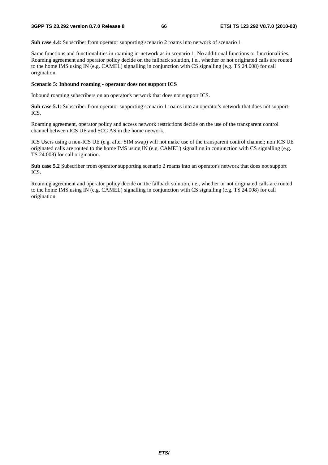**Sub case 4.4**: Subscriber from operator supporting scenario 2 roams into network of scenario 1

Same functions and functionalities in roaming in-network as in scenario 1: No additional functions or functionalities. Roaming agreement and operator policy decide on the fallback solution, i.e., whether or not originated calls are routed to the home IMS using IN (e.g. CAMEL) signalling in conjunction with CS signalling (e.g. TS 24.008) for call origination.

## **Scenario 5: Inbound roaming - operator does not support ICS**

Inbound roaming subscribers on an operator's network that does not support ICS.

**Sub case 5.1**: Subscriber from operator supporting scenario 1 roams into an operator's network that does not support ICS.

Roaming agreement, operator policy and access network restrictions decide on the use of the transparent control channel between ICS UE and SCC AS in the home network.

ICS Users using a non-ICS UE (e.g. after SIM swap) will not make use of the transparent control channel; non ICS UE originated calls are routed to the home IMS using IN (e.g. CAMEL) signalling in conjunction with CS signalling (e.g. TS 24.008) for call origination.

**Sub case 5.2** Subscriber from operator supporting scenario 2 roams into an operator's network that does not support ICS.

Roaming agreement and operator policy decide on the fallback solution, i.e., whether or not originated calls are routed to the home IMS using IN (e.g. CAMEL) signalling in conjunction with CS signalling (e.g. TS 24.008) for call origination.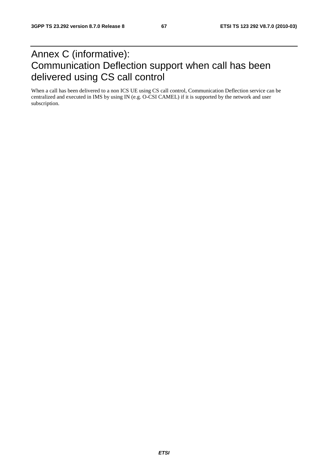# Annex C (informative): Communication Deflection support when call has been delivered using CS call control

When a call has been delivered to a non ICS UE using CS call control, Communication Deflection service can be centralized and executed in IMS by using IN (e.g. O-CSI CAMEL) if it is supported by the network and user subscription.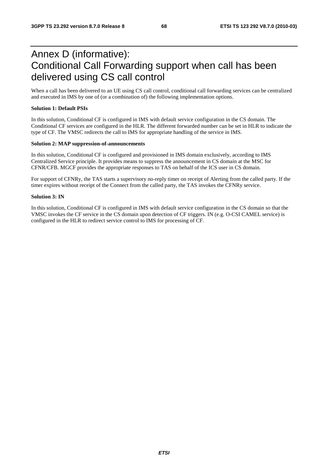# Annex D (informative): Conditional Call Forwarding support when call has been delivered using CS call control

When a call has been delivered to an UE using CS call control, conditional call forwarding services can be centralized and executed in IMS by one of (or a combination of) the following implementation options.

#### **Solution 1: Default PSIs**

In this solution, Conditional CF is configured in IMS with default service configuration in the CS domain. The Conditional CF services are configured in the HLR. The different forwarded number can be set in HLR to indicate the type of CF. The VMSC redirects the call to IMS for appropriate handling of the service in IMS.

#### **Solution 2: MAP suppression-of-announcements**

In this solution, Conditional CF is configured and provisioned in IMS domain exclusively, according to IMS Centralized Service principle. It provides means to suppress the announcement in CS domain at the MSC for CFNR/CFB. MGCF provides the appropriate responses to TAS on behalf of the ICS user in CS domain.

For support of CFNRy, the TAS starts a supervisory no-reply timer on receipt of Alerting from the called party. If the timer expires without receipt of the Connect from the called party, the TAS invokes the CFNRy service.

#### **Solution 3: IN**

In this solution, Conditional CF is configured in IMS with default service configuration in the CS domain so that the VMSC invokes the CF service in the CS domain upon detection of CF triggers. IN (e.g. O-CSI CAMEL service) is configured in the HLR to redirect service control to IMS for processing of CF.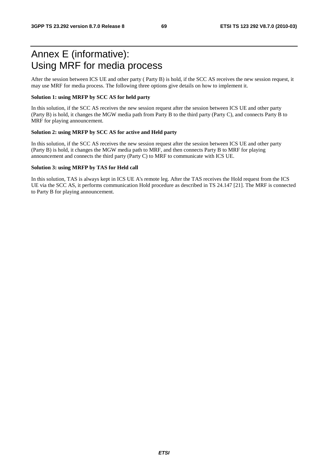# Annex E (informative): Using MRF for media process

After the session between ICS UE and other party ( Party B) is hold, if the SCC AS receives the new session request, it may use MRF for media process. The following three options give details on how to implement it.

### **Solution 1: using MRFP by SCC AS for held party**

In this solution, if the SCC AS receives the new session request after the session between ICS UE and other party (Party B) is hold, it changes the MGW media path from Party B to the third party (Party C), and connects Party B to MRF for playing announcement.

#### **Solution 2: using MRFP by SCC AS for active and Held party**

In this solution, if the SCC AS receives the new session request after the session between ICS UE and other party (Party B) is hold, it changes the MGW media path to MRF, and then connects Party B to MRF for playing announcement and connects the third party (Party C) to MRF to communicate with ICS UE.

#### **Solution 3: using MRFP by TAS for Held call**

In this solution, TAS is always kept in ICS UE A's remote leg. After the TAS receives the Hold request from the ICS UE via the SCC AS, it performs communication Hold procedure as described in TS 24.147 [21]. The MRF is connected to Party B for playing announcement.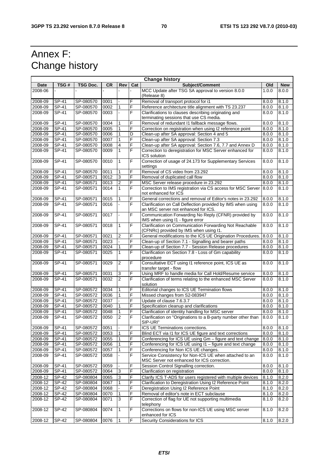# Annex F: Change history

| <b>Change history</b> |                    |           |      |                |                |                                                                                                       |       |            |  |  |
|-----------------------|--------------------|-----------|------|----------------|----------------|-------------------------------------------------------------------------------------------------------|-------|------------|--|--|
| Date                  | TSG#               | TSG Doc.  | CR   | Rev            | Cat            | Subject/Comment                                                                                       | Old   | <b>New</b> |  |  |
| 2008-06               |                    |           |      |                |                | MCC Update after TSG SA approval to version 8.0.0<br>(Release 8)                                      | 1.0.0 | 8.0.0      |  |  |
| 2008-09               | SP-41              | SP-080570 | 0001 |                | F              | Removal of transport protocol for i1                                                                  | 8.0.0 | 8.1.0      |  |  |
| 2008-09               | SP-41              | SP-080570 | 0002 | $\mathbf{1}$   | F              | Reference architecture title alignment with TS 23.237                                                 | 8.0.0 | 8.1.0      |  |  |
| 2008-09               | SP-41              | SP-080570 | 0003 |                | F              | Clarifications to clauses describing originating and<br>terminating sessions that use CS media.       | 8.0.0 | 8.1.0      |  |  |
| 2008-09               | SP-41              | SP-080570 | 0004 | $\mathbf{1}$   | F              | Removal of redundant I1 fallback message flows.                                                       | 8.0.0 | 8.1.0      |  |  |
| 2008-09               | SP-41              | SP-080570 | 0005 | 1              | F              | Correction on registration when using I2 reference point                                              | 8.0.0 | 8.1.0      |  |  |
| 2008-09               | SP-41              | SP-080570 | 0006 | 1              | D              | Clean-up after SA approval: Section 4 and 5                                                           | 8.0.0 | 8.1.0      |  |  |
| 2008-09               | SP-41              | SP-080570 | 0007 | 1              | F              | Clean-up after SA approval: Section 7.3                                                               | 8.0.0 | 8.1.0      |  |  |
| 2008-09               | SP-41              | SP-080570 | 0008 | 4              | F              | Clean-up after SA approval: Section 7.6, 7.7 and Annex D                                              | 8.0.0 | 8.1.0      |  |  |
| 2008-09               | SP-41              | SP-080570 | 0009 | $\mathbf{1}$   | F              | Correction to deregistration for MSC Server enhanced for<br>ICS solution                              | 8.0.0 | 8.1.0      |  |  |
| 2008-09               | $SP-41$            | SP-080570 | 0010 | 1              | F              | Correction of usage of 24.173 for Supplementary Services<br>settings                                  | 8.0.0 | 8.1.0      |  |  |
| 2008-09               | SP-41              | SP-080570 | 0011 | 1              | F              | Removal of CS video from 23.292                                                                       | 8.0.0 | 8.1.0      |  |  |
| 2008-09               | SP-41              | SP-080571 | 0012 | 3              | F              | Removal of duplicated call flow                                                                       | 8.0.0 | 8.1.0      |  |  |
| 2008-09               | SP-41              | SP-080571 | 0013 | $\overline{2}$ | F              | MSC Server release procedure in 23.292                                                                | 8.0.0 | 8.1.0      |  |  |
| 2008-09               | SP-41              | SP-080571 | 0014 | $\mathbf{1}$   | F              | Correction to IMS registration via CS access for MSC Server<br>not enhanced for ICS                   | 8.0.0 | 8.1.0      |  |  |
| 2008-09               | SP-41              | SP-080571 | 0015 | $\mathbf{1}$   | F              | General corrections and removal of Editor's notes in 23.292                                           | 8.0.0 | 8.1.0      |  |  |
| 2008-09               | SP-41              | SP-080571 | 0016 |                | F              | Clarification on Call Deflection provided by IMS when using<br>an MSC server not enhanced for ICS.    | 8.0.0 | 8.1.0      |  |  |
| 2008-09               | SP-41              | SP-080571 | 0017 |                | F              | Communication Forwarding No Reply (CFNR) provided by<br>IMS when using I1 - figure error              | 8.0.0 | 8.1.0      |  |  |
| 2008-09               | SP-41              | SP-080571 | 0018 | 1              | F              | Clarification on Communication Forwarding Not Reachable<br>(CFNRc) provided by IMS when using I1.     | 8.0.0 | 8.1.0      |  |  |
| 2008-09               | SP-41              | SP-080571 | 0021 | $\overline{2}$ | F              | General modifications to the ICS UE Origination Procedures.                                           | 8.0.0 | 8.1.0      |  |  |
| 2008-09               | SP-41              | SP-080571 | 0023 |                | F              | Clean-up of Section 7.1 - Signalling and bearer paths                                                 | 8.0.0 | 8.1.0      |  |  |
| 2008-09               | SP-41              | SP-080571 | 0024 | 1              | F              | Clean-up of Section 7.7 - Session Release procedures                                                  | 8.0.0 | 8.1.0      |  |  |
| 2008-09               | SP-41              | SP-080571 | 0025 | 1              | F              | Clarification on Section 7.8 - Loss of Gm capability<br>procedure                                     | 8.0.0 | 8.1.0      |  |  |
| 2008-09               | SP-41              | SP-080571 | 0029 | $\overline{2}$ | F              | Consultative ECT using I1 reference point, ICS UE as<br>transfer target - flow                        | 8.0.0 | 8.1.0      |  |  |
| 2008-09               | SP-41              | SP-080571 | 0031 | 3              | F              | Using MRF to handle media for Call Hold/Resume service                                                | 8.0.0 | 8.1.0      |  |  |
| 2008-09               | SP-41              | SP-080571 | 0032 | $\overline{2}$ | F              | Clarification of terms relating to the enhanced MSC Server<br>solution                                | 8.0.0 | 8.1.0      |  |  |
| 2008-09               | SP-41              | SP-080572 | 0034 | 1              | F              | Editorial changes to ICS UE Termination flows                                                         | 8.0.0 | 8.1.0      |  |  |
| 2008-09               | SP-41              | SP-080572 | 0036 | $\mathbf{1}$   | F              | Missed changes from S2-083947                                                                         | 8.0.0 | 8.1.0      |  |  |
| 2008-09               | SP-41              | SP-080572 | 0037 |                | F              | Update of clause 7.6.3.7                                                                              | 8.0.0 | 8.1.0      |  |  |
| 2008-09               | SP-41              | SP-080572 | 0040 | 1              | F              | Specification cleanup and clarifications                                                              | 8.0.0 | 8.1.0      |  |  |
| 2008-09               | SP-41              | SP-080572 | 0048 | 1              | F              | Clarification of identity handling for MSC server                                                     | 8.0.0 | 8.1.0      |  |  |
| 2008-09               | SP-41              | SP-080572 | 0050 | $\overline{2}$ | F              | Clarification on "Originations to a B-party number other than<br>SIP-URI"                             | 8.0.0 | 8.1.0      |  |  |
| 2008-09               | <b>SP-41</b>       | SP-080572 | 0051 |                | F              | ICS UE Terminations corrections.                                                                      | 8.0.0 | 8.1.0      |  |  |
| 2008-09               | SP-41              | SP-080572 | 0053 | 1              | F              | Blind ECT via I1 for ICS UE figure and text corrections                                               | 8.0.0 | 8.1.0      |  |  |
| 2008-09               | SP-41              | SP-080572 | 0055 |                | F              | Conferencing for ICS UE using Gm - figure and text change                                             | 8.0.0 | 8.1.0      |  |  |
| 2008-09               | SP-41              | SP-080572 | 0056 |                | F              | Conferencing for ICS UE using I1 - figure and text change                                             | 8.0.0 | 8.1.0      |  |  |
| 2008-09               | SP-41              | SP-080572 | 0057 | 1              | $\overline{F}$ | Conferencing for Non ICS UE changes.                                                                  | 8.0.0 | 8.1.0      |  |  |
| 2008-09               | SP-41              | SP-080572 | 0058 |                | F              | Service Consistency for Non-ICS UE when attached to an<br>MSC Server not enhanced for ICS correction. | 8.0.0 | 8.1.0      |  |  |
| 2008-09               | SP-41              | SP-080572 | 0059 |                | F              | Session Control Signalling correction.                                                                | 8.0.0 | 8.1.0      |  |  |
| 2008-09               | SP-41              | SP-080572 | 0064 | $\sqrt{3}$     | F              | Clarification on registration                                                                         | 8.0.0 | 8.1.0      |  |  |
| $2008 - 12$           | SP-42              | SP-080804 | 0065 | 3              | F              | Clarify ICS T-ADS for users registered with multiple devices                                          | 8.1.0 | 8.2.0      |  |  |
| 2008-12               | SP-42              | SP-080804 | 0067 | 1              | F              | Clarification to Deregistration Using I2 Reference Point                                              | 8.1.0 | 8.2.0      |  |  |
| 2008-12               | $\overline{SP-42}$ | SP-080804 | 0068 |                | F              | Deregistration Using I2 Reference Point                                                               | 8.1.0 | 8.2.0      |  |  |
| 2008-12               | SP-42              | SP-080804 | 0070 | 1              | F              | Removal of editor's note in ECT subclause                                                             | 8.1.0 | 8.2.0      |  |  |
| 2008-12               | SP-42              | SP-080804 | 0071 | 3              | F              | Correction of flag for UE not supporting multimedia<br>telephony                                      | 8.1.0 | 8.2.0      |  |  |
| 2008-12               | SP-42              | SP-080804 | 0074 | 1              | F              | Corrections on flows for non-ICS UE using MSC server<br>enhanced for ICS                              | 8.1.0 | 8.2.0      |  |  |
| 2008-12               | SP-42              | SP-080804 | 0076 | $\overline{1}$ | $\overline{F}$ | Security Considerations for ICS                                                                       | 8.1.0 | 8.2.0      |  |  |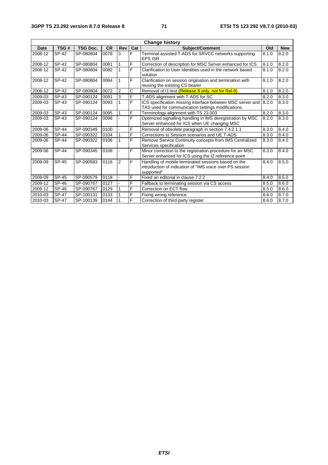| <b>Change history</b> |              |                 |           |                |                |                                                                                                                               |       |            |  |
|-----------------------|--------------|-----------------|-----------|----------------|----------------|-------------------------------------------------------------------------------------------------------------------------------|-------|------------|--|
| <b>Date</b>           | TSG#         | <b>TSG Doc.</b> | <b>CR</b> | <b>Rev</b>     | Cat            | Subject/Comment                                                                                                               | Old   | <b>New</b> |  |
| 2008-12               | SP-42        | SP-080804       | 0078      | 3              | F              | Terminal-assisted T-ADS for SRVCC networks supporting<br><b>EPS ISR</b>                                                       | 8.1.0 | 8.2.0      |  |
| 2008-12               | SP-42        | SP-080804       | 0081      |                | F              | Correction of description for MSC Server enhanced for ICS                                                                     | 8.1.0 | 8.2.0      |  |
| 2008-12               | SP-42        | SP-080804       | 0082      |                | F              | Clarification to User Identities used in the network based<br>solution                                                        | 8.1.0 | 8.2.0      |  |
| 2008-12               | SP-42        | SP-080804       | 0084      | 1              | F              | Clarification on session origination and termination with<br>reusing the existing CS bearer                                   | 8.1.0 | 8.2.0      |  |
| 2008-12               | SP-42        | SP-080804       | 0072      | $\overline{2}$ | C              | Removal of I1 text (Release 8 only, not for Rel-9)                                                                            | 8.1.0 | 8.2.0      |  |
| 2009-03               | SP-43        | SP-090124       | 0091      | 3              | F              | T-ADS alignment with T-ADS for SC                                                                                             | 8.2.0 | 8.3.0      |  |
| 2009-03               | SP-43        | SP-090124       | 0093      |                | $\overline{F}$ | ICS specification missing interface between MSC server and<br>TAS used for communication settings modifications.              | 8.2.0 | 8.3.0      |  |
| 2009-03               | SP-43        | SP-090124       | 0095      |                | F              | Terminology alignment with TS 23.003                                                                                          | 8.2.0 | 8.3.0      |  |
| 2009-03               | SP-43        | SP-090124       | 0098      |                | F              | Optimized signalling handling in IMS deregistration by MSC<br>Server enhanced for ICS when UE changing MSC                    | 8.2.0 | 8.3.0      |  |
| 2009-06               | <b>SP-44</b> | SP-090349       | 0100      |                | F              | Removal of obsolete paragraph in section 7.4.2.1.1                                                                            | 8.3.0 | 8.4.0      |  |
| 2009-06               | <b>SP-44</b> | SP-090322       | 0104      |                | F              | Corrections to Session scenarios and UE T-ADS                                                                                 | 8.3.0 | 8.4.0      |  |
| 2009-06               | <b>SP-44</b> | SP-090322       | 0106      |                | F              | Remove Service Continuity concepts from IMS Centralized<br>Services specification                                             | 8.3.0 | 8.4.0      |  |
| 2009-06               | <b>SP-44</b> | SP-090345       | 0108      |                | F              | Minor correction to the registration procedure for an MSC<br>Server enhanced for ICS using the I2 reference point             | 8.3.0 | 8.4.0      |  |
| 2009-09               | SP-45        | SP-090583       | 0116      | 2              | F              | Handling of mobile terminated sessions based on the<br>introduction of indication of "IMS voice over PS session<br>supported" | 8.4.0 | 8.5.0      |  |
| 2009-09               | SP-45        | SP-090579       | 0118      |                | F              | Fixed an editorial in clause 7.2.2                                                                                            | 8.4.0 | 8.5.0      |  |
| 2009-12               | SP-46        | SP-090767       | 0127      |                | F              | Fallback to terminating session via CS access                                                                                 | 8.5.0 | 8.6.0      |  |
| 2009-12               | <b>SP-46</b> | SP-090767       | 0129      |                | F              | Correction on ECT flow                                                                                                        | 8.5.0 | 8.6.0      |  |
| 2010-03               | <b>SP-47</b> | SP-100131       | 0133      |                | F              | Fixing wrong reference                                                                                                        | 8.6.0 | 8.7.0      |  |
| 2010-03               | <b>SP-47</b> | SP-100139       | 0144      |                | $\overline{F}$ | Correction of third party register                                                                                            | 8.6.0 | 8.7.0      |  |